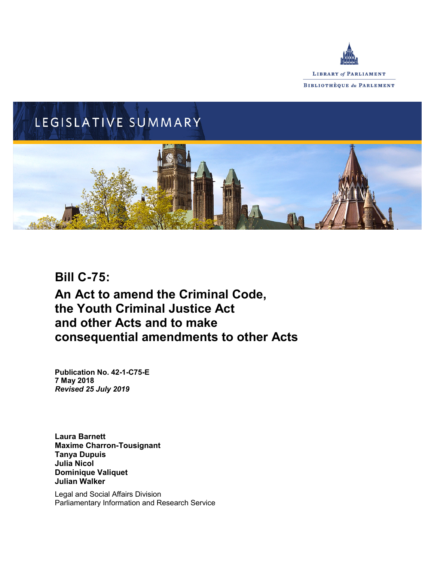

# LEGISLATIVE SUMMARY

# **Bill C-75: An Act to amend the Criminal Code, the Youth Criminal Justice Act and other Acts and to make consequential amendments to other Acts**

**Publication No. 42-1-C75-E 7 May 2018** *Revised 25 July 2019*

**Laura Barnett Maxime Charron-Tousignant Tanya Dupuis Julia Nicol Dominique Valiquet Julian Walker**

Legal and Social Affairs Division Parliamentary Information and Research Service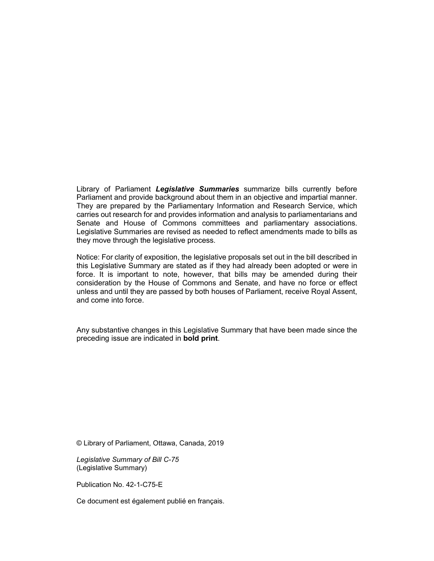Library of Parliament *Legislative Summaries* summarize bills currently before Parliament and provide background about them in an objective and impartial manner. They are prepared by the Parliamentary Information and Research Service, which carries out research for and provides information and analysis to parliamentarians and Senate and House of Commons committees and parliamentary associations. Legislative Summaries are revised as needed to reflect amendments made to bills as they move through the legislative process.

Notice: For clarity of exposition, the legislative proposals set out in the bill described in this Legislative Summary are stated as if they had already been adopted or were in force. It is important to note, however, that bills may be amended during their consideration by the House of Commons and Senate, and have no force or effect unless and until they are passed by both houses of Parliament, receive Royal Assent, and come into force.

Any substantive changes in this Legislative Summary that have been made since the preceding issue are indicated in **bold print**.

© Library of Parliament, Ottawa, Canada, 2019

*Legislative Summary of Bill C-75* (Legislative Summary)

Publication No. 42-1-C75-E

Ce document est également publié en français.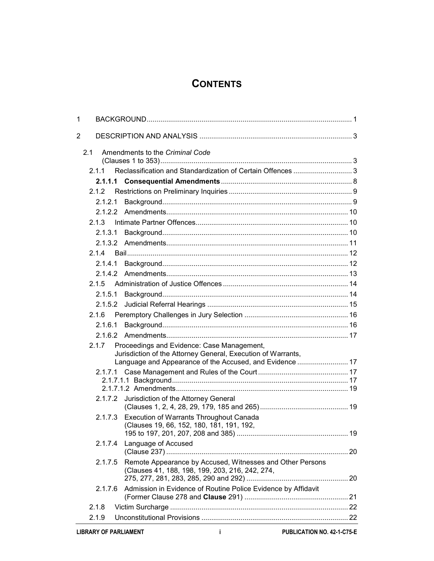# **CONTENTS**

| 1 |         |                                                                                                                                                                        |  |
|---|---------|------------------------------------------------------------------------------------------------------------------------------------------------------------------------|--|
| 2 |         |                                                                                                                                                                        |  |
|   | 2.1     | Amendments to the Criminal Code                                                                                                                                        |  |
|   | 211     | Reclassification and Standardization of Certain Offences 3                                                                                                             |  |
|   |         |                                                                                                                                                                        |  |
|   | 2.1.2   |                                                                                                                                                                        |  |
|   | 2.1.2.1 |                                                                                                                                                                        |  |
|   |         |                                                                                                                                                                        |  |
|   | 2.1.3   |                                                                                                                                                                        |  |
|   | 2.1.3.1 |                                                                                                                                                                        |  |
|   |         |                                                                                                                                                                        |  |
|   | 214     |                                                                                                                                                                        |  |
|   | 2.1.4.1 |                                                                                                                                                                        |  |
|   | 21.4.2  |                                                                                                                                                                        |  |
|   | 2.1.5   |                                                                                                                                                                        |  |
|   | 2.1.5.1 |                                                                                                                                                                        |  |
|   | 2.1.5.2 |                                                                                                                                                                        |  |
|   | 2.1.6   |                                                                                                                                                                        |  |
|   | 2.1.6.1 |                                                                                                                                                                        |  |
|   |         |                                                                                                                                                                        |  |
|   | 2.1.7   | Proceedings and Evidence: Case Management,<br>Jurisdiction of the Attorney General, Execution of Warrants,<br>Language and Appearance of the Accused, and Evidence  17 |  |
|   |         |                                                                                                                                                                        |  |
|   |         |                                                                                                                                                                        |  |
|   |         |                                                                                                                                                                        |  |
|   |         | 2.1.7.2 Jurisdiction of the Attorney General                                                                                                                           |  |
|   | 2.1.7.3 | <b>Execution of Warrants Throughout Canada</b><br>(Clauses 19, 66, 152, 180, 181, 191, 192,                                                                            |  |
|   | 2.1.7.4 | Language of Accused                                                                                                                                                    |  |
|   | 2.1.7.5 | Remote Appearance by Accused, Witnesses and Other Persons<br>(Clauses 41, 188, 198, 199, 203, 216, 242, 274,                                                           |  |
|   | 2.1.7.6 | Admission in Evidence of Routine Police Evidence by Affidavit                                                                                                          |  |
|   | 2.1.8   |                                                                                                                                                                        |  |
|   | 2.1.9   |                                                                                                                                                                        |  |
|   |         |                                                                                                                                                                        |  |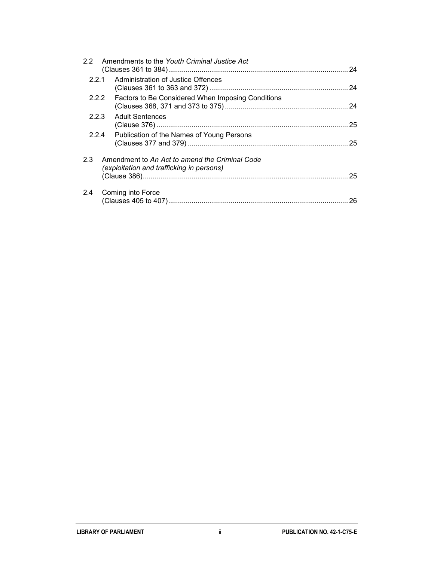|       | 2.2 Amendments to the Youth Criminal Justice Act                                            | 24 |
|-------|---------------------------------------------------------------------------------------------|----|
| 2.2.1 | Administration of Justice Offences                                                          |    |
| 2.2.2 | Factors to Be Considered When Imposing Conditions                                           |    |
| 2.2.3 | <b>Adult Sentences</b>                                                                      | 25 |
| 2.2.4 | Publication of the Names of Young Persons                                                   |    |
| 2.3   | Amendment to An Act to amend the Criminal Code<br>(exploitation and trafficking in persons) | 25 |
| 2.4   | Coming into Force                                                                           |    |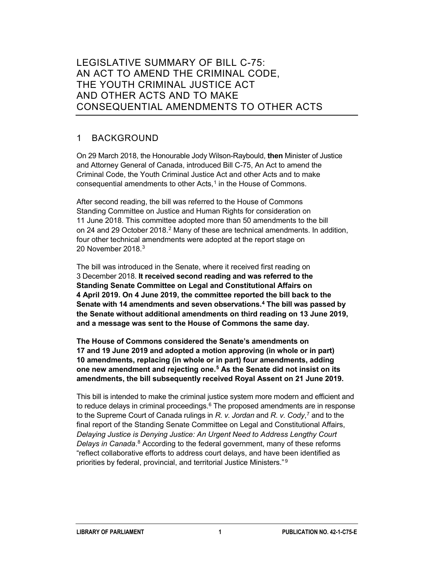# LEGISLATIVE SUMMARY OF BILL C-75: AN ACT TO AMEND THE CRIMINAL CODE, THE YOUTH CRIMINAL JUSTICE ACT AND OTHER ACTS AND TO MAKE CONSEQUENTIAL AMENDMENTS TO OTHER ACTS

# 1 BACKGROUND

On 29 March 2018, the Honourable Jody Wilson-Raybould, **then** Minister of Justice and Attorney General of Canada, introduced Bill C-75, An Act to amend the Criminal Code, the Youth Criminal Justice Act and other Acts and to make consequential amendments to other Acts,<sup>[1](#page-29-0)</sup> in the House of Commons.

After second reading, the bill was referred to the House of Commons Standing Committee on Justice and Human Rights for consideration on 11 June 2018. This committee adopted more than 50 amendments to the bill on [2](#page-29-1)4 and 29 October 2018.<sup>2</sup> Many of these are technical amendments. In addition, four other technical amendments were adopted at the report stage on 20 November 2018.<sup>[3](#page-29-2)</sup>

The bill was introduced in the Senate, where it received first reading on 3 December 2018. **It received second reading and was referred to the Standing Senate Committee on Legal and Constitutional Affairs on 4 April 2019. On 4 June 2019, the committee reported the bill back to the Senate with 14 amendments and seven observations.[4](#page-29-3) The bill was passed by the Senate without additional amendments on third reading on 13 June 2019, and a message was sent to the House of Commons the same day.**

**The House of Commons considered the Senate's amendments on 17 and 19 June 2019 and adopted a motion approving (in whole or in part) 10 amendments, replacing (in whole or in part) four amendments, adding one new amendment and rejecting one.[5](#page-29-4) As the Senate did not insist on its amendments, the bill subsequently received Royal Assent on 21 June 2019.**

This bill is intended to make the criminal justice system more modern and efficient and to reduce delays in criminal proceedings. $6$  The proposed amendments are in response to the Supreme Court of Canada rulings in *R. v. Jordan* and *R. v. Cody*, [7](#page-30-0) and to the final report of the Standing Senate Committee on Legal and Constitutional Affairs, *Delaying Justice is Denying Justice: An Urgent Need to Address Lengthy Court Delays in Canada*. [8](#page-30-1) According to the federal government, many of these reforms "reflect collaborative efforts to address court delays, and have been identified as priorities by federal, provincial, and territorial Justice Ministers." [9](#page-30-2)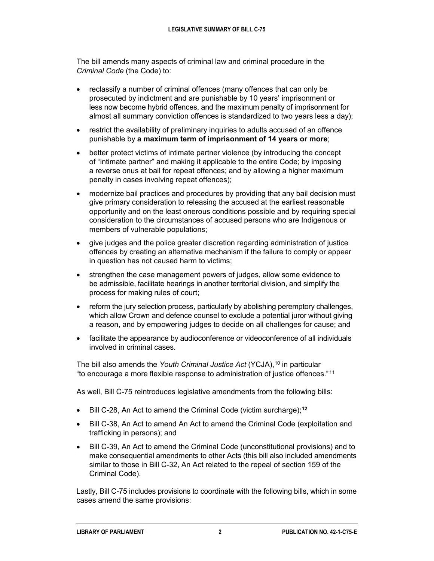The bill amends many aspects of criminal law and criminal procedure in the *Criminal Code* (the Code) to:

- reclassify a number of criminal offences (many offences that can only be prosecuted by indictment and are punishable by 10 years' imprisonment or less now become hybrid offences, and the maximum penalty of imprisonment for almost all summary conviction offences is standardized to two years less a day);
- restrict the availability of preliminary inquiries to adults accused of an offence punishable by **a maximum term of imprisonment of 14 years or more**;
- better protect victims of intimate partner violence (by introducing the concept of "intimate partner" and making it applicable to the entire Code; by imposing a reverse onus at bail for repeat offences; and by allowing a higher maximum penalty in cases involving repeat offences);
- modernize bail practices and procedures by providing that any bail decision must give primary consideration to releasing the accused at the earliest reasonable opportunity and on the least onerous conditions possible and by requiring special consideration to the circumstances of accused persons who are Indigenous or members of vulnerable populations;
- give judges and the police greater discretion regarding administration of justice offences by creating an alternative mechanism if the failure to comply or appear in question has not caused harm to victims;
- strengthen the case management powers of judges, allow some evidence to be admissible, facilitate hearings in another territorial division, and simplify the process for making rules of court;
- reform the jury selection process, particularly by abolishing peremptory challenges, which allow Crown and defence counsel to exclude a potential juror without giving a reason, and by empowering judges to decide on all challenges for cause; and
- facilitate the appearance by audioconference or videoconference of all individuals involved in criminal cases.

The bill also amends the *Youth Criminal Justice Act* (YCJA),<sup>10</sup> in particular "to encourage a more flexible response to administration of justice offences." [11](#page-30-4)

As well, Bill C-75 reintroduces legislative amendments from the following bills:

- Bill C-28, An Act to amend the Criminal Code (victim surcharge);**[12](#page-30-5)**
- Bill C-38, An Act to amend An Act to amend the Criminal Code (exploitation and trafficking in persons); and
- Bill C-39, An Act to amend the Criminal Code (unconstitutional provisions) and to make consequential amendments to other Acts (this bill also included amendments similar to those in Bill C-32, An Act related to the repeal of section 159 of the Criminal Code).

Lastly, Bill C-75 includes provisions to coordinate with the following bills, which in some cases amend the same provisions: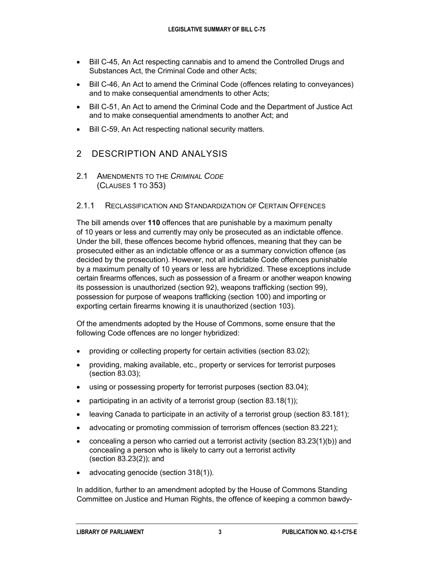- Bill C-45, An Act respecting cannabis and to amend the Controlled Drugs and Substances Act, the Criminal Code and other Acts;
- Bill C-46, An Act to amend the Criminal Code (offences relating to conveyances) and to make consequential amendments to other Acts;
- Bill C-51, An Act to amend the Criminal Code and the Department of Justice Act and to make consequential amendments to another Act; and
- Bill C-59, An Act respecting national security matters.

# 2 DESCRIPTION AND ANALYSIS

2.1 AMENDMENTS TO THE *CRIMINAL CODE* (CLAUSES 1 TO 353)

#### 2.1.1 RECLASSIFICATION AND STANDARDIZATION OF CERTAIN OFFENCES

The bill amends over **110** offences that are punishable by a maximum penalty of 10 years or less and currently may only be prosecuted as an indictable offence. Under the bill, these offences become hybrid offences, meaning that they can be prosecuted either as an indictable offence or as a summary conviction offence (as decided by the prosecution). However, not all indictable Code offences punishable by a maximum penalty of 10 years or less are hybridized. These exceptions include certain firearms offences, such as possession of a firearm or another weapon knowing its possession is unauthorized (section 92), weapons trafficking (section 99), possession for purpose of weapons trafficking (section 100) and importing or exporting certain firearms knowing it is unauthorized (section 103).

Of the amendments adopted by the House of Commons, some ensure that the following Code offences are no longer hybridized:

- providing or collecting property for certain activities (section 83.02);
- providing, making available, etc., property or services for terrorist purposes (section 83.03);
- using or possessing property for terrorist purposes (section 83.04);
- participating in an activity of a terrorist group (section  $83.18(1)$ );
- leaving Canada to participate in an activity of a terrorist group (section 83.181);
- advocating or promoting commission of terrorism offences (section 83.221);
- concealing a person who carried out a terrorist activity (section 83.23(1)(b)) and concealing a person who is likely to carry out a terrorist activity (section 83.23(2)); and
- advocating genocide (section 318(1)).

In addition, further to an amendment adopted by the House of Commons Standing Committee on Justice and Human Rights, the offence of keeping a common bawdy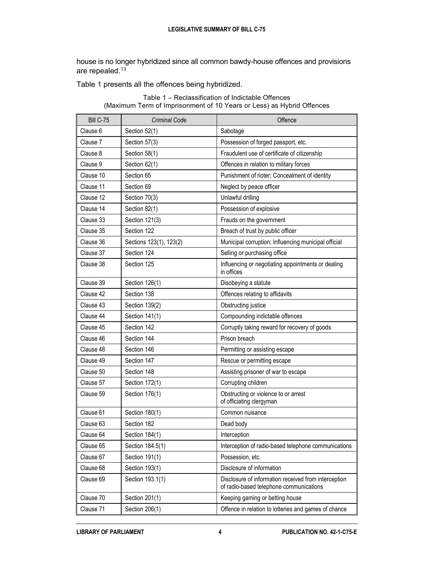house is no longer hybridized since all common bawdy-house offences and provisions are repealed.<sup>[13](#page-30-6)</sup>

Table 1 presents all the offences being hybridized.

| <b>Bill C-75</b> | <b>Criminal Code</b>    | Offence                                                                                         |
|------------------|-------------------------|-------------------------------------------------------------------------------------------------|
| Clause 6         | Section 52(1)           | Sabotage                                                                                        |
| Clause 7         | Section 57(3)           | Possession of forged passport, etc.                                                             |
| Clause 8         | Section 58(1)           | Fraudulent use of certificate of citizenship                                                    |
| Clause 9         | Section 62(1)           | Offences in relation to military forces                                                         |
| Clause 10        | Section 65              | Punishment of rioter; Concealment of identity                                                   |
| Clause 11        | Section 69              | Neglect by peace officer                                                                        |
| Clause 12        | Section 70(3)           | Unlawful drilling                                                                               |
| Clause 14        | Section 82(1)           | Possession of explosive                                                                         |
| Clause 33        | Section 121(3)          | Frauds on the government                                                                        |
| Clause 35        | Section 122             | Breach of trust by public officer                                                               |
| Clause 36        | Sections 123(1), 123(2) | Municipal corruption; Influencing municipal official                                            |
| Clause 37        | Section 124             | Selling or purchasing office                                                                    |
| Clause 38        | Section 125             | Influencing or negotiating appointments or dealing<br>in offices                                |
| Clause 39        | Section 126(1)          | Disobeying a statute                                                                            |
| Clause 42        | Section 138             | Offences relating to affidavits                                                                 |
| Clause 43        | Section 139(2)          | Obstructing justice                                                                             |
| Clause 44        | Section 141(1)          | Compounding indictable offences                                                                 |
| Clause 45        | Section 142             | Corruptly taking reward for recovery of goods                                                   |
| Clause 46        | Section 144             | Prison breach                                                                                   |
| Clause 48        | Section 146             | Permitting or assisting escape                                                                  |
| Clause 49        | Section 147             | Rescue or permitting escape                                                                     |
| Clause 50        | Section 148             | Assisting prisoner of war to escape                                                             |
| Clause 57        | Section 172(1)          | Corrupting children                                                                             |
| Clause 59        | Section 176(1)          | Obstructing or violence to or arrest<br>of officiating clergyman                                |
| Clause 61        | Section 180(1)          | Common nuisance                                                                                 |
| Clause 63        | Section 182             | Dead body                                                                                       |
| Clause 64        | Section 184(1)          | Interception                                                                                    |
| Clause 65        | Section 184.5(1)        | Interception of radio-based telephone communications                                            |
| Clause 67        | Section 191(1)          | Possession, etc.                                                                                |
| Clause 68        | Section 193(1)          | Disclosure of information                                                                       |
| Clause 69        | Section 193.1(1)        | Disclosure of information received from interception<br>of radio-based telephone communications |
| Clause 70        | Section 201(1)          | Keeping gaming or betting house                                                                 |
| Clause 71        | Section 206(1)          | Offence in relation to lotteries and games of chance                                            |

Table 1 – Reclassification of Indictable Offences (Maximum Term of Imprisonment of 10 Years or Less) as Hybrid Offences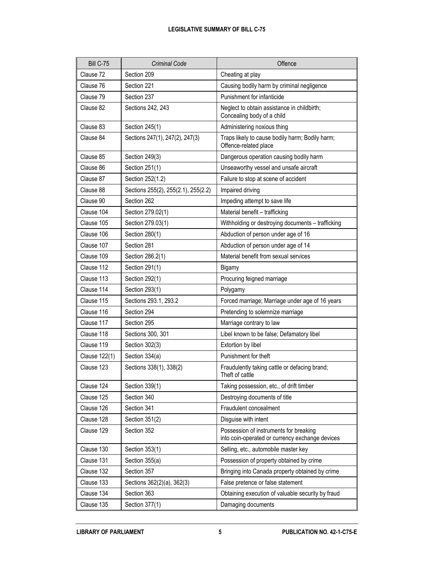#### **LEGISLATIVE SUMMARY OF BILL C-75**

| <b>Bill C-75</b>         | <b>Criminal Code</b>                | Offence                                                                                   |
|--------------------------|-------------------------------------|-------------------------------------------------------------------------------------------|
| Clause 72                | Section 209                         | Cheating at play                                                                          |
| Clause 76<br>Section 221 |                                     | Causing bodily harm by criminal negligence                                                |
| Clause 79                | Section 237                         | Punishment for infanticide                                                                |
| Clause 82                | Sections 242, 243                   | Neglect to obtain assistance in childbirth;<br>Concealing body of a child                 |
| Clause 83                | Section 245(1)                      | Administering noxious thing                                                               |
| Clause 84                | Sections 247(1), 247(2), 247(3)     | Traps likely to cause bodily harm; Bodily harm;<br>Offence-related place                  |
| Clause 85                | Section 249(3)                      | Dangerous operation causing bodily harm                                                   |
| Clause 86                | Section 251(1)                      | Unseaworthy vessel and unsafe aircraft                                                    |
| Clause 87                | Section 252(1.2)                    | Failure to stop at scene of accident                                                      |
| Clause 88                | Sections 255(2), 255(2.1), 255(2.2) | Impaired driving                                                                          |
| Clause 90                | Section 262                         | Impeding attempt to save life                                                             |
| Clause 104               | Section 279.02(1)                   | Material benefit - trafficking                                                            |
| Clause 105               | Section 279.03(1)                   | Withholding or destroying documents - trafficking                                         |
| Clause 106               | Section 280(1)                      | Abduction of person under age of 16                                                       |
| Clause 107               | Section 281                         | Abduction of person under age of 14                                                       |
| Clause 109               | Section 286.2(1)                    | Material benefit from sexual services                                                     |
| Clause 112               | Section 291(1)                      | Bigamy                                                                                    |
| Clause 113               | Section 292(1)                      | Procuring feigned marriage                                                                |
| Clause 114               | Section 293(1)                      | Polygamy                                                                                  |
| Clause 115               | Sections 293.1, 293.2               | Forced marriage; Marriage under age of 16 years                                           |
| Clause 116               | Section 294                         | Pretending to solemnize marriage                                                          |
| Clause 117               | Section 295                         | Marriage contrary to law                                                                  |
| Clause 118               | Sections 300, 301                   | Libel known to be false; Defamatory libel                                                 |
| Clause 119               | Section 302(3)                      | Extortion by libel                                                                        |
| Clause 122(1)            | Section 334(a)                      | Punishment for theft                                                                      |
| Clause 123               | Sections 338(1), 338(2)             | Fraudulently taking cattle or defacing brand;<br>Theft of cattle                          |
| Clause 124               | Section 339(1)                      | Taking possession, etc., of drift timber                                                  |
| Clause 125               | Section 340                         | Destroying documents of title                                                             |
| Clause 126               | Section 341                         | Fraudulent concealment                                                                    |
| Clause 128               | Section 351(2)                      | Disguise with intent                                                                      |
| Clause 129               | Section 352                         | Possession of instruments for breaking<br>into coin-operated or currency exchange devices |
| Clause 130               | Section 353(1)                      | Selling, etc., automobile master key                                                      |
| Clause 131               | Section 355(a)                      | Possession of property obtained by crime                                                  |
| Clause 132               | Section 357                         | Bringing into Canada property obtained by crime                                           |
| Clause 133               | Sections 362(2)(a), 362(3)          | False pretence or false statement                                                         |
| Clause 134               | Section 363                         | Obtaining execution of valuable security by fraud                                         |
| Clause 135               | Section 377(1)                      | Damaging documents                                                                        |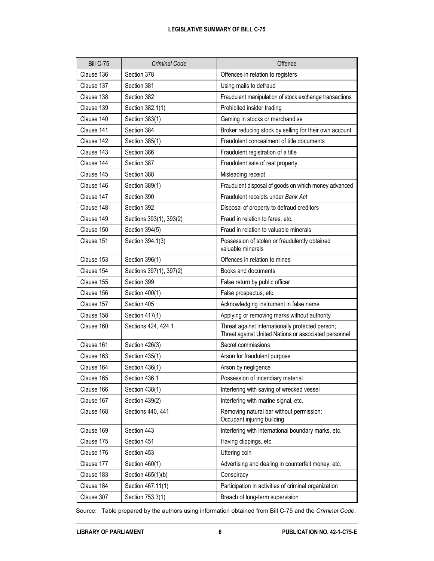#### **LEGISLATIVE SUMMARY OF BILL C-75**

| <b>Bill C-75</b> | Criminal Code           | Offence                                                                                                   |
|------------------|-------------------------|-----------------------------------------------------------------------------------------------------------|
| Clause 136       | Section 378             | Offences in relation to registers                                                                         |
| Clause 137       | Section 381             | Using mails to defraud                                                                                    |
| Clause 138       | Section 382             | Fraudulent manipulation of stock exchange transactions                                                    |
| Clause 139       | Section 382.1(1)        | Prohibited insider trading                                                                                |
| Clause 140       | Section 383(1)          | Gaming in stocks or merchandise                                                                           |
| Clause 141       | Section 384             | Broker reducing stock by selling for their own account                                                    |
| Clause 142       | Section 385(1)          | Fraudulent concealment of title documents                                                                 |
| Clause 143       | Section 386             | Fraudulent registration of a title                                                                        |
| Clause 144       | Section 387             | Fraudulent sale of real property                                                                          |
| Clause 145       | Section 388             | Misleading receipt                                                                                        |
| Clause 146       | Section 389(1)          | Fraudulent disposal of goods on which money advanced                                                      |
| Clause 147       | Section 390             | Fraudulent receipts under Bank Act                                                                        |
| Clause 148       | Section 392             | Disposal of property to defraud creditors                                                                 |
| Clause 149       | Sections 393(1), 393(2) | Fraud in relation to fares, etc.                                                                          |
| Clause 150       | Section 394(5)          | Fraud in relation to valuable minerals                                                                    |
| Clause 151       | Section 394.1(3)        | Possession of stolen or fraudulently obtained<br>valuable minerals                                        |
| Clause 153       | Section 396(1)          | Offences in relation to mines                                                                             |
| Clause 154       | Sections 397(1), 397(2) | Books and documents                                                                                       |
| Clause 155       | Section 399             | False return by public officer                                                                            |
| Clause 156       | Section 400(1)          | False prospectus, etc.                                                                                    |
| Clause 157       | Section 405             | Acknowledging instrument in false name                                                                    |
| Clause 158       | Section 417(1)          | Applying or removing marks without authority                                                              |
| Clause 160       | Sections 424, 424.1     | Threat against internationally protected person;<br>Threat against United Nations or associated personnel |
| Clause 161       | Section 426(3)          | Secret commissions                                                                                        |
| Clause 163       | Section 435(1)          | Arson for fraudulent purpose                                                                              |
| Clause 164       | Section 436(1)          | Arson by negligence                                                                                       |
| Clause 165       | Section 436.1           | Possession of incendiary material                                                                         |
| Clause 166       | Section 438(1)          | Interfering with saving of wrecked vessel                                                                 |
| Clause 167       | Section 439(2)          | Interfering with marine signal, etc.                                                                      |
| Clause 168       | Sections 440, 441       | Removing natural bar without permission;<br>Occupant injuring building                                    |
| Clause 169       | Section 443             | Interfering with international boundary marks, etc.                                                       |
| Clause 175       | Section 451             | Having clippings, etc.                                                                                    |
| Clause 176       | Section 453             | Uttering coin                                                                                             |
| Clause 177       | Section 460(1)          | Advertising and dealing in counterfeit money, etc.                                                        |
| Clause 183       | Section 465(1)(b)       | Conspiracy                                                                                                |
| Clause 184       | Section 467.11(1)       | Participation in activities of criminal organization                                                      |
| Clause 307       | Section 753.3(1)        | Breach of long-term supervision                                                                           |

Source: Table prepared by the authors using information obtained from Bill C-75 and the *Criminal Code*.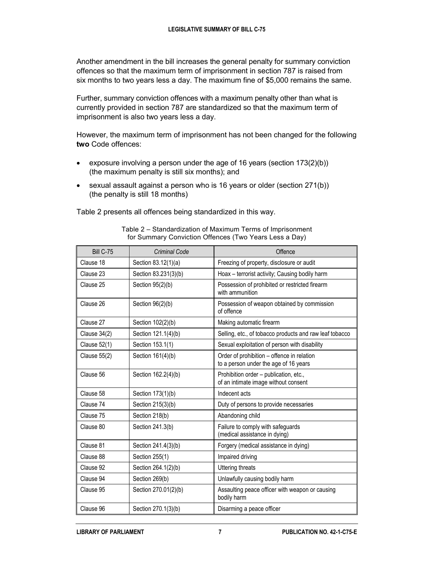Another amendment in the bill increases the general penalty for summary conviction offences so that the maximum term of imprisonment in section 787 is raised from six months to two years less a day. The maximum fine of \$5,000 remains the same.

Further, summary conviction offences with a maximum penalty other than what is currently provided in section 787 are standardized so that the maximum term of imprisonment is also two years less a day.

However, the maximum term of imprisonment has not been changed for the following **two** Code offences:

- exposure involving a person under the age of 16 years (section  $173(2)(b)$ ) (the maximum penalty is still six months); and
- sexual assault against a person who is 16 years or older (section 271(b)) (the penalty is still 18 months)

Table 2 presents all offences being standardized in this way.

| <b>Bill C-75</b>    | <b>Criminal Code</b> | Offence                                                                             |
|---------------------|----------------------|-------------------------------------------------------------------------------------|
| Clause 18           | Section 83.12(1)(a)  | Freezing of property, disclosure or audit                                           |
| Clause 23           | Section 83.231(3)(b) | Hoax - terrorist activity; Causing bodily harm                                      |
| Clause 25           | Section 95(2)(b)     | Possession of prohibited or restricted firearm<br>with ammunition                   |
| Clause 26           | Section 96(2)(b)     | Possession of weapon obtained by commission<br>of offence                           |
| Clause 27           | Section 102(2)(b)    | Making automatic firearm                                                            |
| Clause 34(2)        | Section 121.1(4)(b)  | Selling, etc., of tobacco products and raw leaf tobacco                             |
| <b>Clause 52(1)</b> | Section 153.1(1)     | Sexual exploitation of person with disability                                       |
| <b>Clause 55(2)</b> | Section 161(4)(b)    | Order of prohibition - offence in relation<br>to a person under the age of 16 years |
| Clause 56           | Section 162.2(4)(b)  | Prohibition order - publication, etc.,<br>of an intimate image without consent      |
| Clause 58           | Section 173(1)(b)    | Indecent acts                                                                       |
| Clause 74           | Section 215(3)(b)    | Duty of persons to provide necessaries                                              |
| Clause 75           | Section 218(b)       | Abandoning child                                                                    |
| Clause 80           | Section 241.3(b)     | Failure to comply with safeguards<br>(medical assistance in dying)                  |
| Clause 81           | Section 241.4(3)(b)  | Forgery (medical assistance in dying)                                               |
| Clause 88           | Section 255(1)       | Impaired driving                                                                    |
| Clause 92           | Section 264.1(2)(b)  | <b>Uttering threats</b>                                                             |
| Clause 94           | Section 269(b)       | Unlawfully causing bodily harm                                                      |
| Clause 95           | Section 270.01(2)(b) | Assaulting peace officer with weapon or causing<br>bodily harm                      |
| Clause 96           | Section 270.1(3)(b)  | Disarming a peace officer                                                           |

Table 2 – Standardization of Maximum Terms of Imprisonment for Summary Conviction Offences (Two Years Less a Day)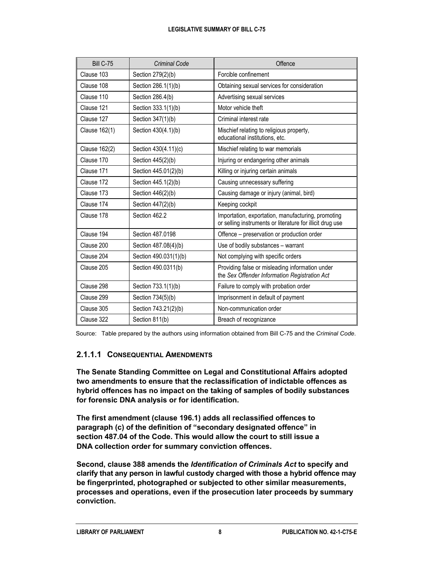#### **LEGISLATIVE SUMMARY OF BILL C-75**

| <b>Bill C-75</b> | <b>Criminal Code</b>  | Offence                                                                                                         |
|------------------|-----------------------|-----------------------------------------------------------------------------------------------------------------|
| Clause 103       | Section 279(2)(b)     | Forcible confinement                                                                                            |
| Clause 108       | Section 286.1(1)(b)   | Obtaining sexual services for consideration                                                                     |
| Clause 110       | Section 286.4(b)      | Advertising sexual services                                                                                     |
| Clause 121       | Section 333.1(1)(b)   | Motor vehicle theft                                                                                             |
| Clause 127       | Section 347(1)(b)     | Criminal interest rate                                                                                          |
| Clause 162(1)    | Section 430(4.1)(b)   | Mischief relating to religious property,<br>educational institutions, etc.                                      |
| Clause 162(2)    | Section 430(4.11)(c)  | Mischief relating to war memorials                                                                              |
| Clause 170       | Section 445(2)(b)     | Injuring or endangering other animals                                                                           |
| Clause 171       | Section 445.01(2)(b)  | Killing or injuring certain animals                                                                             |
| Clause 172       | Section 445.1(2)(b)   | Causing unnecessary suffering                                                                                   |
| Clause 173       | Section 446(2)(b)     | Causing damage or injury (animal, bird)                                                                         |
| Clause 174       | Section 447(2)(b)     | Keeping cockpit                                                                                                 |
| Clause 178       | Section 462.2         | Importation, exportation, manufacturing, promoting<br>or selling instruments or literature for illicit drug use |
| Clause 194       | Section 487,0198      | Offence - preservation or production order                                                                      |
| Clause 200       | Section 487.08(4)(b)  | Use of bodily substances - warrant                                                                              |
| Clause 204       | Section 490.031(1)(b) | Not complying with specific orders                                                                              |
| Clause 205       | Section 490.0311(b)   | Providing false or misleading information under<br>the Sex Offender Information Registration Act                |
| Clause 298       | Section 733.1(1)(b)   | Failure to comply with probation order                                                                          |
| Clause 299       | Section 734(5)(b)     | Imprisonment in default of payment                                                                              |
| Clause 305       | Section 743.21(2)(b)  | Non-communication order                                                                                         |
| Clause 322       | Section 811(b)        | Breach of recognizance                                                                                          |

Source: Table prepared by the authors using information obtained from Bill C-75 and the *Criminal Code*.

# **2.1.1.1 CONSEQUENTIAL AMENDMENTS**

**The Senate Standing Committee on Legal and Constitutional Affairs adopted two amendments to ensure that the reclassification of indictable offences as hybrid offences has no impact on the taking of samples of bodily substances for forensic DNA analysis or for identification.**

**The first amendment (clause 196.1) adds all reclassified offences to paragraph (c) of the definition of "secondary designated offence" in section 487.04 of the Code. This would allow the court to still issue a DNA collection order for summary conviction offences.**

**Second, clause 388 amends the** *Identification of Criminals Act* **to specify and clarify that any person in lawful custody charged with those a hybrid offence may be fingerprinted, photographed or subjected to other similar measurements, processes and operations, even if the prosecution later proceeds by summary conviction.**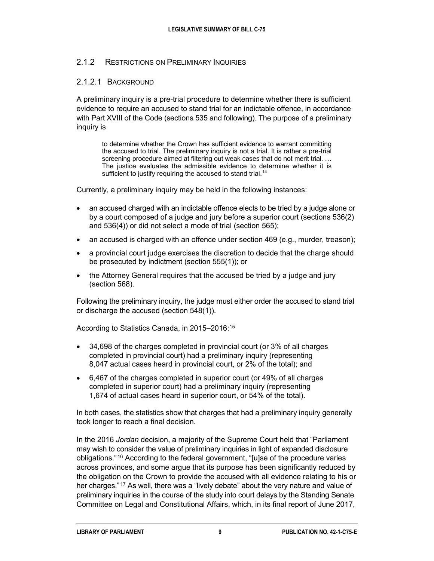#### 2.1.2 RESTRICTIONS ON PRELIMINARY INQUIRIES

#### 2.1.2.1 BACKGROUND

A preliminary inquiry is a pre-trial procedure to determine whether there is sufficient evidence to require an accused to stand trial for an indictable offence, in accordance with Part XVIII of the Code (sections 535 and following). The purpose of a preliminary inquiry is

to determine whether the Crown has sufficient evidence to warrant committing the accused to trial. The preliminary inquiry is not a trial. It is rather a pre-trial screening procedure aimed at filtering out weak cases that do not merit trial. … The justice evaluates the admissible evidence to determine whether it is sufficient to justify requiring the accused to stand trial.<sup>[14](#page-30-7)</sup>

Currently, a preliminary inquiry may be held in the following instances:

- an accused charged with an indictable offence elects to be tried by a judge alone or by a court composed of a judge and jury before a superior court (sections 536(2) and 536(4)) or did not select a mode of trial (section 565);
- an accused is charged with an offence under section 469 (e.g., murder, treason);
- a provincial court judge exercises the discretion to decide that the charge should be prosecuted by indictment (section 555(1)); or
- the Attorney General requires that the accused be tried by a judge and jury (section 568).

Following the preliminary inquiry, the judge must either order the accused to stand trial or discharge the accused (section 548(1)).

According to Statistics Canada, in 2015–2016: [15](#page-30-8)

- 34,698 of the charges completed in provincial court (or 3% of all charges completed in provincial court) had a preliminary inquiry (representing 8,047 actual cases heard in provincial court, or 2% of the total); and
- 6,467 of the charges completed in superior court (or 49% of all charges completed in superior court) had a preliminary inquiry (representing 1,674 of actual cases heard in superior court, or 54% of the total).

In both cases, the statistics show that charges that had a preliminary inquiry generally took longer to reach a final decision.

In the 2016 *Jordan* decision, a majority of the Supreme Court held that "Parliament may wish to consider the value of preliminary inquiries in light of expanded disclosure obligations." [16](#page-30-9) According to the federal government, "[u]se of the procedure varies across provinces, and some argue that its purpose has been significantly reduced by the obligation on the Crown to provide the accused with all evidence relating to his or her charges."<sup>[17](#page-30-10)</sup> As well, there was a "lively debate" about the very nature and value of preliminary inquiries in the course of the study into court delays by the Standing Senate Committee on Legal and Constitutional Affairs, which, in its final report of June 2017,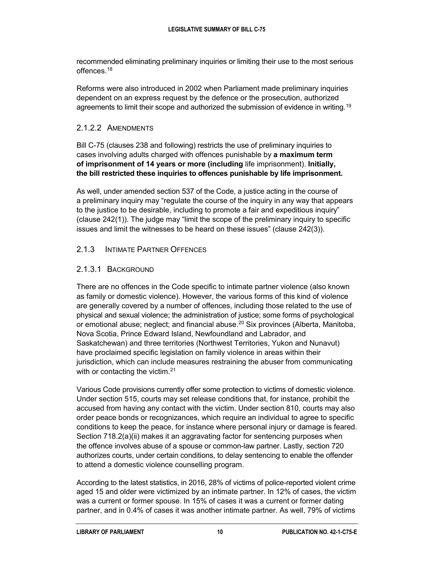recommended eliminating preliminary inquiries or limiting their use to the most serious offences.<sup>[18](#page-30-11)</sup>

Reforms were also introduced in 2002 when Parliament made preliminary inquiries dependent on an express request by the defence or the prosecution, authorized agreements to limit their scope and authorized the submission of evidence in writing.<sup>[19](#page-30-12)</sup>

### 2.1.2.2 AMENDMENTS

Bill C-75 (clauses 238 and following) restricts the use of preliminary inquiries to cases involving adults charged with offences punishable by **a maximum term of imprisonment of 14 years or more (including** life imprisonment). **Initially, the bill restricted these inquiries to offences punishable by life imprisonment.**

As well, under amended section 537 of the Code, a justice acting in the course of a preliminary inquiry may "regulate the course of the inquiry in any way that appears to the justice to be desirable, including to promote a fair and expeditious inquiry" (clause 242(1)). The judge may "limit the scope of the preliminary inquiry to specific issues and limit the witnesses to be heard on these issues" (clause 242(3)).

#### 2.1.3 INTIMATE PARTNER OFFENCES

#### 2.1.3.1 BACKGROUND

There are no offences in the Code specific to intimate partner violence (also known as family or domestic violence). However, the various forms of this kind of violence are generally covered by a number of offences, including those related to the use of physical and sexual violence; the administration of justice; some forms of psychological or emotional abuse; neglect; and financial abuse.<sup>[20](#page-30-13)</sup> Six provinces (Alberta, Manitoba, Nova Scotia, Prince Edward Island, Newfoundland and Labrador, and Saskatchewan) and three territories (Northwest Territories, Yukon and Nunavut) have proclaimed specific legislation on family violence in areas within their jurisdiction, which can include measures restraining the abuser from communicating with or contacting the victim.<sup>21</sup>

Various Code provisions currently offer some protection to victims of domestic violence. Under section 515, courts may set release conditions that, for instance, prohibit the accused from having any contact with the victim. Under section 810, courts may also order peace bonds or recognizances, which require an individual to agree to specific conditions to keep the peace, for instance where personal injury or damage is feared. Section 718.2(a)(ii) makes it an aggravating factor for sentencing purposes when the offence involves abuse of a spouse or common-law partner. Lastly, section 720 authorizes courts, under certain conditions, to delay sentencing to enable the offender to attend a domestic violence counselling program.

According to the latest statistics, in 2016, 28% of victims of police-reported violent crime aged 15 and older were victimized by an intimate partner. In 12% of cases, the victim was a current or former spouse. In 15% of cases it was a current or former dating partner, and in 0.4% of cases it was another intimate partner. As well, 79% of victims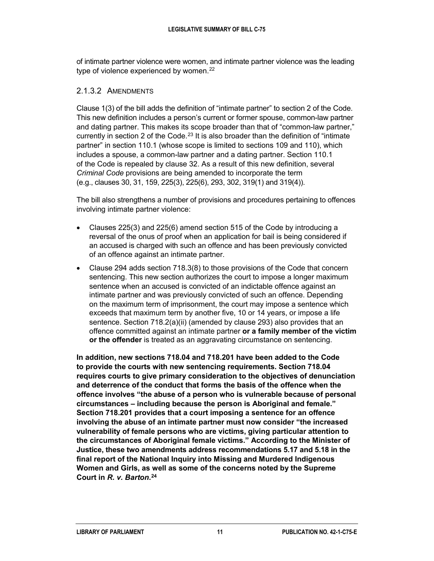of intimate partner violence were women, and intimate partner violence was the leading type of violence experienced by women.<sup>[22](#page-30-15)</sup>

#### 2.1.3.2 AMENDMENTS

Clause 1(3) of the bill adds the definition of "intimate partner" to section 2 of the Code. This new definition includes a person's current or former spouse, common-law partner and dating partner. This makes its scope broader than that of "common-law partner," currently in section 2 of the Code.<sup>[23](#page-30-16)</sup> It is also broader than the definition of "intimate partner" in section 110.1 (whose scope is limited to sections 109 and 110), which includes a spouse, a common-law partner and a dating partner. Section 110.1 of the Code is repealed by clause 32. As a result of this new definition, several *Criminal Code* provisions are being amended to incorporate the term (e.g., clauses 30, 31, 159, 225(3), 225(6), 293, 302, 319(1) and 319(4)).

The bill also strengthens a number of provisions and procedures pertaining to offences involving intimate partner violence:

- Clauses 225(3) and 225(6) amend section 515 of the Code by introducing a reversal of the onus of proof when an application for bail is being considered if an accused is charged with such an offence and has been previously convicted of an offence against an intimate partner.
- Clause 294 adds section 718.3(8) to those provisions of the Code that concern sentencing. This new section authorizes the court to impose a longer maximum sentence when an accused is convicted of an indictable offence against an intimate partner and was previously convicted of such an offence. Depending on the maximum term of imprisonment, the court may impose a sentence which exceeds that maximum term by another five, 10 or 14 years, or impose a life sentence. Section 718.2(a)(ii) (amended by clause 293) also provides that an offence committed against an intimate partner **or a family member of the victim or the offender** is treated as an aggravating circumstance on sentencing.

**In addition, new sections 718.04 and 718.201 have been added to the Code to provide the courts with new sentencing requirements. Section 718.04 requires courts to give primary consideration to the objectives of denunciation and deterrence of the conduct that forms the basis of the offence when the offence involves "the abuse of a person who is vulnerable because of personal circumstances – including because the person is Aboriginal and female." Section 718.201 provides that a court imposing a sentence for an offence involving the abuse of an intimate partner must now consider "the increased vulnerability of female persons who are victims, giving particular attention to the circumstances of Aboriginal female victims." According to the Minister of Justice, these two amendments address recommendations 5.17 and 5.18 in the final report of the National Inquiry into Missing and Murdered Indigenous Women and Girls, as well as some of the concerns noted by the Supreme Court in** *R. v. Barton***. [24](#page-31-0)**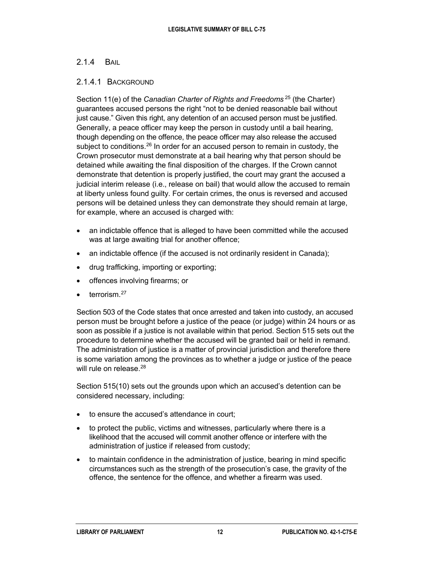#### 2.1.4 BAIL

#### 2.1.4.1 BACKGROUND

Section 11(e) of the *Canadian Charter of Rights and Freedoms* [25](#page-31-1) (the Charter) guarantees accused persons the right "not to be denied reasonable bail without just cause." Given this right, any detention of an accused person must be justified. Generally, a peace officer may keep the person in custody until a bail hearing, though depending on the offence, the peace officer may also release the accused subject to conditions.<sup>[26](#page-31-2)</sup> In order for an accused person to remain in custody, the Crown prosecutor must demonstrate at a bail hearing why that person should be detained while awaiting the final disposition of the charges. If the Crown cannot demonstrate that detention is properly justified, the court may grant the accused a judicial interim release (i.e., release on bail) that would allow the accused to remain at liberty unless found guilty. For certain crimes, the onus is reversed and accused persons will be detained unless they can demonstrate they should remain at large, for example, where an accused is charged with:

- an indictable offence that is alleged to have been committed while the accused was at large awaiting trial for another offence;
- an indictable offence (if the accused is not ordinarily resident in Canada);
- drug trafficking, importing or exporting;
- offences involving firearms; or
- $\bullet$  terrorism  $^{27}$  $^{27}$  $^{27}$

Section 503 of the Code states that once arrested and taken into custody, an accused person must be brought before a justice of the peace (or judge) within 24 hours or as soon as possible if a justice is not available within that period. Section 515 sets out the procedure to determine whether the accused will be granted bail or held in remand. The administration of justice is a matter of provincial jurisdiction and therefore there is some variation among the provinces as to whether a judge or justice of the peace will rule on release.<sup>28</sup>

Section 515(10) sets out the grounds upon which an accused's detention can be considered necessary, including:

- to ensure the accused's attendance in court;
- to protect the public, victims and witnesses, particularly where there is a likelihood that the accused will commit another offence or interfere with the administration of justice if released from custody;
- to maintain confidence in the administration of justice, bearing in mind specific circumstances such as the strength of the prosecution's case, the gravity of the offence, the sentence for the offence, and whether a firearm was used.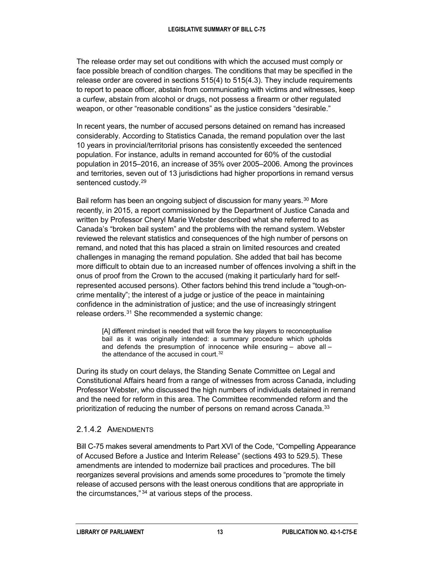The release order may set out conditions with which the accused must comply or face possible breach of condition charges. The conditions that may be specified in the release order are covered in sections 515(4) to 515(4.3). They include requirements to report to peace officer, abstain from communicating with victims and witnesses, keep a curfew, abstain from alcohol or drugs, not possess a firearm or other regulated weapon, or other "reasonable conditions" as the justice considers "desirable."

In recent years, the number of accused persons detained on remand has increased considerably. According to Statistics Canada, the remand population over the last 10 years in provincial/territorial prisons has consistently exceeded the sentenced population. For instance, adults in remand accounted for 60% of the custodial population in 2015–2016, an increase of 35% over 2005–2006. Among the provinces and territories, seven out of 13 jurisdictions had higher proportions in remand versus sentenced custody.<sup>[29](#page-31-5)</sup>

Bail reform has been an ongoing subject of discussion for many years.<sup>[30](#page-31-6)</sup> More recently, in 2015, a report commissioned by the Department of Justice Canada and written by Professor Cheryl Marie Webster described what she referred to as Canada's "broken bail system" and the problems with the remand system. Webster reviewed the relevant statistics and consequences of the high number of persons on remand, and noted that this has placed a strain on limited resources and created challenges in managing the remand population. She added that bail has become more difficult to obtain due to an increased number of offences involving a shift in the onus of proof from the Crown to the accused (making it particularly hard for selfrepresented accused persons). Other factors behind this trend include a "tough-oncrime mentality"; the interest of a judge or justice of the peace in maintaining confidence in the administration of justice; and the use of increasingly stringent release orders.[31](#page-31-7) She recommended a systemic change:

[A] different mindset is needed that will force the key players to reconceptualise bail as it was originally intended: a summary procedure which upholds and defends the presumption of innocence while ensuring – above all – the attendance of the accused in court.<sup>[32](#page-31-8)</sup>

During its study on court delays, the Standing Senate Committee on Legal and Constitutional Affairs heard from a range of witnesses from across Canada, including Professor Webster, who discussed the high numbers of individuals detained in remand and the need for reform in this area. The Committee recommended reform and the prioritization of reducing the number of persons on remand across Canada.<sup>[33](#page-31-9)</sup>

# 2.1.4.2 AMENDMENTS

Bill C-75 makes several amendments to Part XVI of the Code, "Compelling Appearance of Accused Before a Justice and Interim Release" (sections 493 to 529.5). These amendments are intended to modernize bail practices and procedures. The bill reorganizes several provisions and amends some procedures to "promote the timely release of accused persons with the least onerous conditions that are appropriate in the circumstances,"<sup>[34](#page-31-10)</sup> at various steps of the process.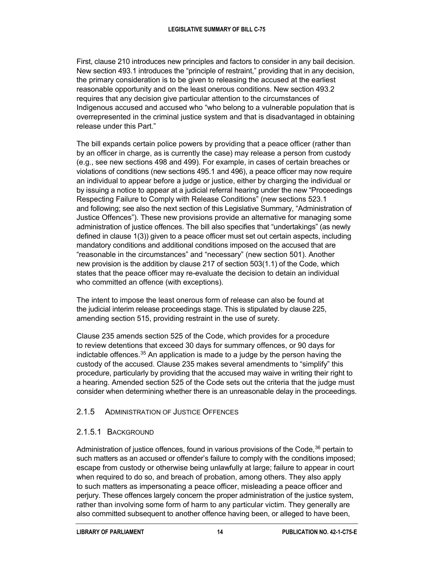First, clause 210 introduces new principles and factors to consider in any bail decision. New section 493.1 introduces the "principle of restraint," providing that in any decision, the primary consideration is to be given to releasing the accused at the earliest reasonable opportunity and on the least onerous conditions. New section 493.2 requires that any decision give particular attention to the circumstances of Indigenous accused and accused who "who belong to a vulnerable population that is overrepresented in the criminal justice system and that is disadvantaged in obtaining release under this Part."

The bill expands certain police powers by providing that a peace officer (rather than by an officer in charge, as is currently the case) may release a person from custody (e.g., see new sections 498 and 499). For example, in cases of certain breaches or violations of conditions (new sections 495.1 and 496), a peace officer may now require an individual to appear before a judge or justice, either by charging the individual or by issuing a notice to appear at a judicial referral hearing under the new "Proceedings Respecting Failure to Comply with Release Conditions" (new sections 523.1 and following; see also the next section of this Legislative Summary, "Administration of Justice Offences"). These new provisions provide an alternative for managing some administration of justice offences. The bill also specifies that "undertakings" (as newly defined in clause 1(3)) given to a peace officer must set out certain aspects, including mandatory conditions and additional conditions imposed on the accused that are "reasonable in the circumstances" and "necessary" (new section 501). Another new provision is the addition by clause 217 of section 503(1.1) of the Code, which states that the peace officer may re-evaluate the decision to detain an individual who committed an offence (with exceptions).

The intent to impose the least onerous form of release can also be found at the judicial interim release proceedings stage. This is stipulated by clause 225, amending section 515, providing restraint in the use of surety.

Clause 235 amends section 525 of the Code, which provides for a procedure to review detentions that exceed 30 days for summary offences, or 90 days for indictable offences.  $35$  An application is made to a judge by the person having the custody of the accused. Clause 235 makes several amendments to "simplify" this procedure, particularly by providing that the accused may waive in writing their right to a hearing. Amended section 525 of the Code sets out the criteria that the judge must consider when determining whether there is an unreasonable delay in the proceedings.

# 2.1.5 ADMINISTRATION OF JUSTICE OFFENCES

# 2.1.5.1 BACKGROUND

Administration of justice offences, found in various provisions of the Code, $36$  pertain to such matters as an accused or offender's failure to comply with the conditions imposed; escape from custody or otherwise being unlawfully at large; failure to appear in court when required to do so, and breach of probation, among others. They also apply to such matters as impersonating a peace officer, misleading a peace officer and perjury. These offences largely concern the proper administration of the justice system, rather than involving some form of harm to any particular victim. They generally are also committed subsequent to another offence having been, or alleged to have been,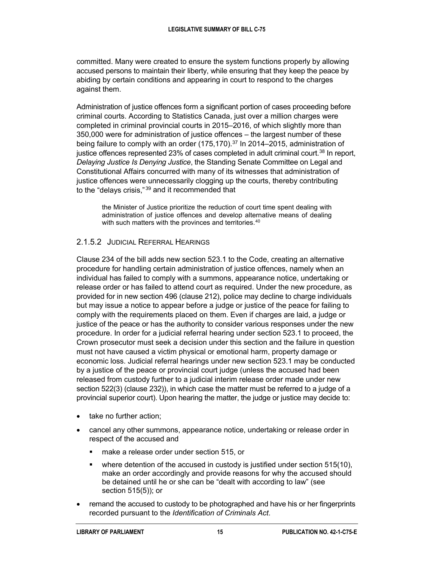committed. Many were created to ensure the system functions properly by allowing accused persons to maintain their liberty, while ensuring that they keep the peace by abiding by certain conditions and appearing in court to respond to the charges against them.

Administration of justice offences form a significant portion of cases proceeding before criminal courts. According to Statistics Canada, just over a million charges were completed in criminal provincial courts in 2015–2016, of which slightly more than 350,000 were for administration of justice offences – the largest number of these being failure to comply with an order (175,170).<sup>[37](#page-31-13)</sup> In 2014–2015, administration of justice offences represented 23% of cases completed in adult criminal court.<sup>[38](#page-31-14)</sup> In report, *Delaying Justice Is Denying Justice*, the Standing Senate Committee on Legal and Constitutional Affairs concurred with many of its witnesses that administration of justice offences were unnecessarily clogging up the courts, thereby contributing to the "delays crisis,"<sup>[39](#page-31-15)</sup> and it recommended that

the Minister of Justice prioritize the reduction of court time spent dealing with administration of justice offences and develop alternative means of dealing with such matters with the provinces and territories.<sup>[40](#page-31-16)</sup>

# 2.1.5.2 JUDICIAL REFERRAL HEARINGS

Clause 234 of the bill adds new section 523.1 to the Code, creating an alternative procedure for handling certain administration of justice offences, namely when an individual has failed to comply with a summons, appearance notice, undertaking or release order or has failed to attend court as required. Under the new procedure, as provided for in new section 496 (clause 212), police may decline to charge individuals but may issue a notice to appear before a judge or justice of the peace for failing to comply with the requirements placed on them. Even if charges are laid, a judge or justice of the peace or has the authority to consider various responses under the new procedure. In order for a judicial referral hearing under section 523.1 to proceed, the Crown prosecutor must seek a decision under this section and the failure in question must not have caused a victim physical or emotional harm, property damage or economic loss. Judicial referral hearings under new section 523.1 may be conducted by a justice of the peace or provincial court judge (unless the accused had been released from custody further to a judicial interim release order made under new section 522(3) (clause 232)), in which case the matter must be referred to a judge of a provincial superior court). Upon hearing the matter, the judge or justice may decide to:

- take no further action;
- cancel any other summons, appearance notice, undertaking or release order in respect of the accused and
	- **nake a release order under section 515, or**
	- **•** where detention of the accused in custody is justified under section 515(10), make an order accordingly and provide reasons for why the accused should be detained until he or she can be "dealt with according to law" (see section 515(5)); or
- remand the accused to custody to be photographed and have his or her fingerprints recorded pursuant to the *Identification of Criminals Act*.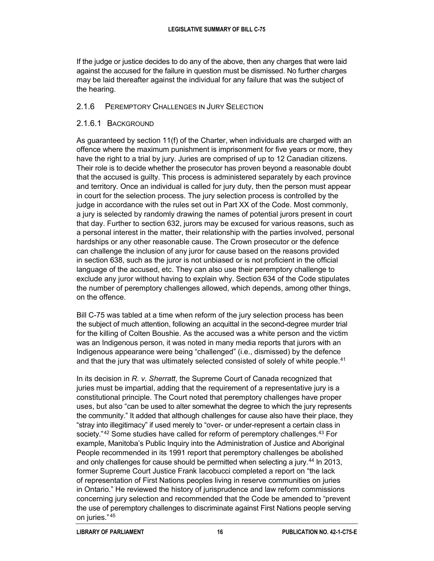If the judge or justice decides to do any of the above, then any charges that were laid against the accused for the failure in question must be dismissed. No further charges may be laid thereafter against the individual for any failure that was the subject of the hearing.

### 2.1.6 PEREMPTORY CHALLENGES IN JURY SELECTION

### 2.1.6.1 BACKGROUND

As guaranteed by section 11(f) of the Charter, when individuals are charged with an offence where the maximum punishment is imprisonment for five years or more, they have the right to a trial by jury. Juries are comprised of up to 12 Canadian citizens. Their role is to decide whether the prosecutor has proven beyond a reasonable doubt that the accused is guilty. This process is administered separately by each province and territory. Once an individual is called for jury duty, then the person must appear in court for the selection process. The jury selection process is controlled by the judge in accordance with the rules set out in Part XX of the Code. Most commonly, a jury is selected by randomly drawing the names of potential jurors present in court that day. Further to section 632, jurors may be excused for various reasons, such as a personal interest in the matter, their relationship with the parties involved, personal hardships or any other reasonable cause. The Crown prosecutor or the defence can challenge the inclusion of any juror for cause based on the reasons provided in section 638, such as the juror is not unbiased or is not proficient in the official language of the accused, etc. They can also use their peremptory challenge to exclude any juror without having to explain why. Section 634 of the Code stipulates the number of peremptory challenges allowed, which depends, among other things, on the offence.

Bill C-75 was tabled at a time when reform of the jury selection process has been the subject of much attention, following an acquittal in the second-degree murder trial for the killing of Colten Boushie. As the accused was a white person and the victim was an Indigenous person, it was noted in many media reports that jurors with an Indigenous appearance were being "challenged" (i.e., dismissed) by the defence and that the jury that was ultimately selected consisted of solely of white people.<sup>[41](#page-32-0)</sup>

In its decision in *R. v. Sherratt*, the Supreme Court of Canada recognized that juries must be impartial, adding that the requirement of a representative jury is a constitutional principle. The Court noted that peremptory challenges have proper uses, but also "can be used to alter somewhat the degree to which the jury represents the community." It added that although challenges for cause also have their place, they "stray into illegitimacy" if used merely to "over- or under-represent a certain class in society."<sup>[42](#page-32-1)</sup> Some studies have called for reform of peremptory challenges.<sup>[43](#page-32-2)</sup> For example, Manitoba's Public Inquiry into the Administration of Justice and Aboriginal People recommended in its 1991 report that peremptory challenges be abolished and only challenges for cause should be permitted when selecting a jury.<sup>[44](#page-32-3)</sup> In 2013, former Supreme Court Justice Frank Iacobucci completed a report on "the lack of representation of First Nations peoples living in reserve communities on juries in Ontario." He reviewed the history of jurisprudence and law reform commissions concerning jury selection and recommended that the Code be amended to "prevent the use of peremptory challenges to discriminate against First Nations people serving on juries." [45](#page-32-4)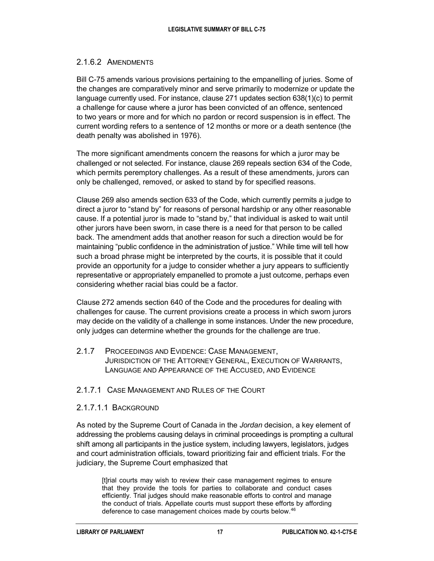# 2.1.6.2 AMENDMENTS

Bill C-75 amends various provisions pertaining to the empanelling of juries. Some of the changes are comparatively minor and serve primarily to modernize or update the language currently used. For instance, clause 271 updates section 638(1)(c) to permit a challenge for cause where a juror has been convicted of an offence, sentenced to two years or more and for which no pardon or record suspension is in effect. The current wording refers to a sentence of 12 months or more or a death sentence (the death penalty was abolished in 1976).

The more significant amendments concern the reasons for which a juror may be challenged or not selected. For instance, clause 269 repeals section 634 of the Code, which permits peremptory challenges. As a result of these amendments, jurors can only be challenged, removed, or asked to stand by for specified reasons.

Clause 269 also amends section 633 of the Code, which currently permits a judge to direct a juror to "stand by" for reasons of personal hardship or any other reasonable cause. If a potential juror is made to "stand by," that individual is asked to wait until other jurors have been sworn, in case there is a need for that person to be called back. The amendment adds that another reason for such a direction would be for maintaining "public confidence in the administration of justice." While time will tell how such a broad phrase might be interpreted by the courts, it is possible that it could provide an opportunity for a judge to consider whether a jury appears to sufficiently representative or appropriately empanelled to promote a just outcome, perhaps even considering whether racial bias could be a factor.

Clause 272 amends section 640 of the Code and the procedures for dealing with challenges for cause. The current provisions create a process in which sworn jurors may decide on the validity of a challenge in some instances. Under the new procedure, only judges can determine whether the grounds for the challenge are true.

2.1.7 PROCEEDINGS AND EVIDENCE: CASE MANAGEMENT, JURISDICTION OF THE ATTORNEY GENERAL, EXECUTION OF WARRANTS, LANGUAGE AND APPEARANCE OF THE ACCUSED, AND EVIDENCE

#### 2.1.7.1 CASE MANAGEMENT AND RULES OF THE COURT

#### 2.1.7.1.1 BACKGROUND

As noted by the Supreme Court of Canada in the *Jordan* decision, a key element of addressing the problems causing delays in criminal proceedings is prompting a cultural shift among all participants in the justice system, including lawyers, legislators, judges and court administration officials, toward prioritizing fair and efficient trials. For the judiciary, the Supreme Court emphasized that

[t]rial courts may wish to review their case management regimes to ensure that they provide the tools for parties to collaborate and conduct cases efficiently. Trial judges should make reasonable efforts to control and manage the conduct of trials. Appellate courts must support these efforts by affording deference to case management choices made by courts below.<sup>[46](#page-32-5)</sup>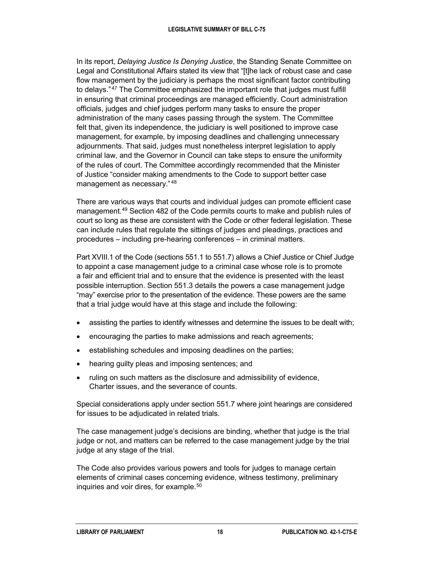In its report, *Delaying Justice Is Denying Justice*, the Standing Senate Committee on Legal and Constitutional Affairs stated its view that "[t]he lack of robust case and case flow management by the judiciary is perhaps the most significant factor contributing to delays."<sup>[47](#page-32-6)</sup> The Committee emphasized the important role that judges must fulfill in ensuring that criminal proceedings are managed efficiently. Court administration officials, judges and chief judges perform many tasks to ensure the proper administration of the many cases passing through the system. The Committee felt that, given its independence, the judiciary is well positioned to improve case management, for example, by imposing deadlines and challenging unnecessary adjournments. That said, judges must nonetheless interpret legislation to apply criminal law, and the Governor in Council can take steps to ensure the uniformity of the rules of court. The Committee accordingly recommended that the Minister of Justice "consider making amendments to the Code to support better case management as necessary." [48](#page-32-7)

There are various ways that courts and individual judges can promote efficient case management.[49](#page-32-8) Section 482 of the Code permits courts to make and publish rules of court so long as these are consistent with the Code or other federal legislation. These can include rules that regulate the sittings of judges and pleadings, practices and procedures – including pre-hearing conferences – in criminal matters.

Part XVIII.1 of the Code (sections 551.1 to 551.7) allows a Chief Justice or Chief Judge to appoint a case management judge to a criminal case whose role is to promote a fair and efficient trial and to ensure that the evidence is presented with the least possible interruption. Section 551.3 details the powers a case management judge "may" exercise prior to the presentation of the evidence. These powers are the same that a trial judge would have at this stage and include the following:

- assisting the parties to identify witnesses and determine the issues to be dealt with;
- encouraging the parties to make admissions and reach agreements;
- establishing schedules and imposing deadlines on the parties;
- hearing guilty pleas and imposing sentences; and
- ruling on such matters as the disclosure and admissibility of evidence, Charter issues, and the severance of counts.

Special considerations apply under section 551.7 where joint hearings are considered for issues to be adjudicated in related trials.

The case management judge's decisions are binding, whether that judge is the trial judge or not, and matters can be referred to the case management judge by the trial judge at any stage of the trial.

The Code also provides various powers and tools for judges to manage certain elements of criminal cases concerning evidence, witness testimony, preliminary inquiries and voir dires, for example.<sup>[50](#page-32-9)</sup>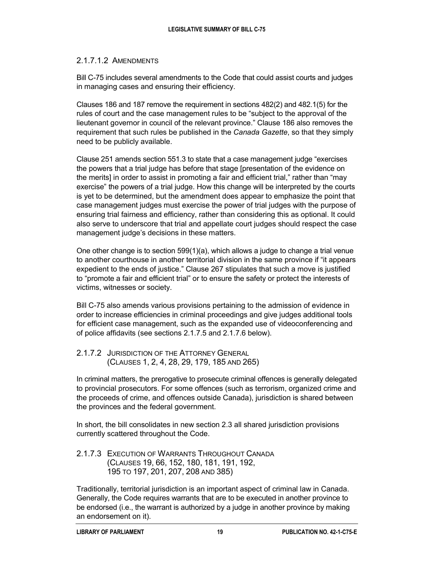#### 2.1.7.1.2 AMENDMENTS

Bill C-75 includes several amendments to the Code that could assist courts and judges in managing cases and ensuring their efficiency.

Clauses 186 and 187 remove the requirement in sections 482(2) and 482.1(5) for the rules of court and the case management rules to be "subject to the approval of the lieutenant governor in council of the relevant province." Clause 186 also removes the requirement that such rules be published in the *Canada Gazette*, so that they simply need to be publicly available.

Clause 251 amends section 551.3 to state that a case management judge "exercises the powers that a trial judge has before that stage [presentation of the evidence on the merits] in order to assist in promoting a fair and efficient trial," rather than "may exercise" the powers of a trial judge. How this change will be interpreted by the courts is yet to be determined, but the amendment does appear to emphasize the point that case management judges must exercise the power of trial judges with the purpose of ensuring trial fairness and efficiency, rather than considering this as optional. It could also serve to underscore that trial and appellate court judges should respect the case management judge's decisions in these matters.

One other change is to section 599(1)(a), which allows a judge to change a trial venue to another courthouse in another territorial division in the same province if "it appears expedient to the ends of justice." Clause 267 stipulates that such a move is justified to "promote a fair and efficient trial" or to ensure the safety or protect the interests of victims, witnesses or society.

Bill C-75 also amends various provisions pertaining to the admission of evidence in order to increase efficiencies in criminal proceedings and give judges additional tools for efficient case management, such as the expanded use of videoconferencing and of police affidavits (see sections 2.1.7.5 and 2.1.7.6 below).

2.1.7.2 JURISDICTION OF THE ATTORNEY GENERAL (CLAUSES 1, 2, 4, 28, 29, 179, 185 AND 265)

In criminal matters, the prerogative to prosecute criminal offences is generally delegated to provincial prosecutors. For some offences (such as terrorism, organized crime and the proceeds of crime, and offences outside Canada), jurisdiction is shared between the provinces and the federal government.

In short, the bill consolidates in new section 2.3 all shared jurisdiction provisions currently scattered throughout the Code.

2.1.7.3 EXECUTION OF WARRANTS THROUGHOUT CANADA (CLAUSES 19, 66, 152, 180, 181, 191, 192, 195 TO 197, 201, 207, 208 AND 385)

Traditionally, territorial jurisdiction is an important aspect of criminal law in Canada. Generally, the Code requires warrants that are to be executed in another province to be endorsed (i.e., the warrant is authorized by a judge in another province by making an endorsement on it).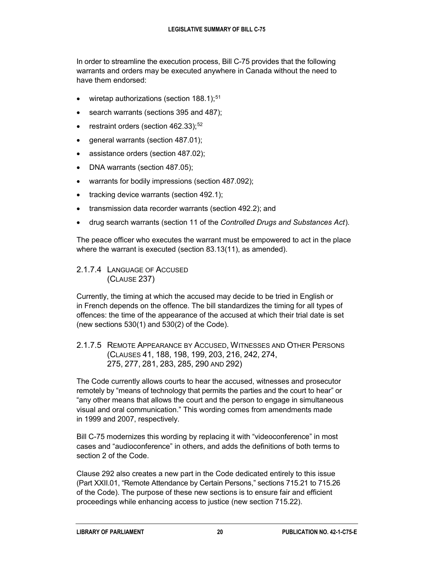In order to streamline the execution process, Bill C-75 provides that the following warrants and orders may be executed anywhere in Canada without the need to have them endorsed:

- $\bullet$  wiretap authorizations (section 188.1);<sup>[51](#page-32-10)</sup>
- search warrants (sections 395 and 487);
- **•** restraint orders (section  $462.33$ );  $52$
- general warrants (section 487.01);
- assistance orders (section 487.02);
- DNA warrants (section 487.05);
- warrants for bodily impressions (section 487.092);
- tracking device warrants (section 492.1);
- transmission data recorder warrants (section 492.2); and
- drug search warrants (section 11 of the *Controlled Drugs and Substances Act*).

The peace officer who executes the warrant must be empowered to act in the place where the warrant is executed (section 83.13(11), as amended).

#### 2.1.7.4 LANGUAGE OF ACCUSED (CLAUSE 237)

Currently, the timing at which the accused may decide to be tried in English or in French depends on the offence. The bill standardizes the timing for all types of offences: the time of the appearance of the accused at which their trial date is set (new sections 530(1) and 530(2) of the Code).

# 2.1.7.5 REMOTE APPEARANCE BY ACCUSED, WITNESSES AND OTHER PERSONS (CLAUSES 41, 188, 198, 199, 203, 216, 242, 274, 275, 277, 281, 283, 285, 290 AND 292)

The Code currently allows courts to hear the accused, witnesses and prosecutor remotely by "means of technology that permits the parties and the court to hear" or "any other means that allows the court and the person to engage in simultaneous visual and oral communication." This wording comes from amendments made in 1999 and 2007, respectively.

Bill C-75 modernizes this wording by replacing it with "videoconference" in most cases and "audioconference" in others, and adds the definitions of both terms to section 2 of the Code.

Clause 292 also creates a new part in the Code dedicated entirely to this issue (Part XXII.01, "Remote Attendance by Certain Persons," sections 715.21 to 715.26 of the Code). The purpose of these new sections is to ensure fair and efficient proceedings while enhancing access to justice (new section 715.22).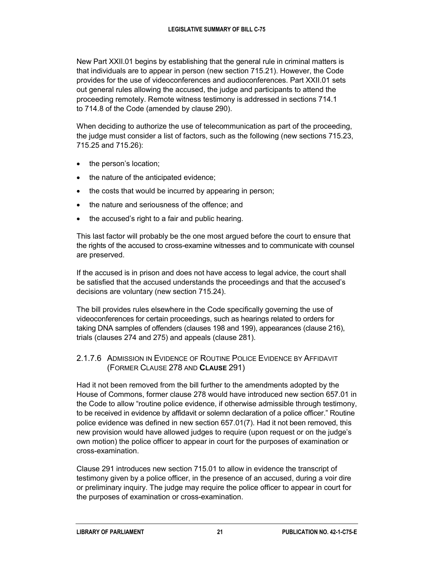New Part XXII.01 begins by establishing that the general rule in criminal matters is that individuals are to appear in person (new section 715.21). However, the Code provides for the use of videoconferences and audioconferences. Part XXII.01 sets out general rules allowing the accused, the judge and participants to attend the proceeding remotely. Remote witness testimony is addressed in sections 714.1 to 714.8 of the Code (amended by clause 290).

When deciding to authorize the use of telecommunication as part of the proceeding, the judge must consider a list of factors, such as the following (new sections 715.23, 715.25 and 715.26):

- the person's location;
- the nature of the anticipated evidence;
- the costs that would be incurred by appearing in person;
- the nature and seriousness of the offence; and
- the accused's right to a fair and public hearing.

This last factor will probably be the one most argued before the court to ensure that the rights of the accused to cross-examine witnesses and to communicate with counsel are preserved.

If the accused is in prison and does not have access to legal advice, the court shall be satisfied that the accused understands the proceedings and that the accused's decisions are voluntary (new section 715.24).

The bill provides rules elsewhere in the Code specifically governing the use of videoconferences for certain proceedings, such as hearings related to orders for taking DNA samples of offenders (clauses 198 and 199), appearances (clause 216), trials (clauses 274 and 275) and appeals (clause 281).

#### 2.1.7.6 ADMISSION IN EVIDENCE OF ROUTINE POLICE EVIDENCE BY AFFIDAVIT (FORMER CLAUSE 278 AND **CLAUSE** 291)

Had it not been removed from the bill further to the amendments adopted by the House of Commons, former clause 278 would have introduced new section 657.01 in the Code to allow "routine police evidence, if otherwise admissible through testimony, to be received in evidence by affidavit or solemn declaration of a police officer." Routine police evidence was defined in new section 657.01(7). Had it not been removed, this new provision would have allowed judges to require (upon request or on the judge's own motion) the police officer to appear in court for the purposes of examination or cross-examination.

Clause 291 introduces new section 715.01 to allow in evidence the transcript of testimony given by a police officer, in the presence of an accused, during a voir dire or preliminary inquiry. The judge may require the police officer to appear in court for the purposes of examination or cross-examination.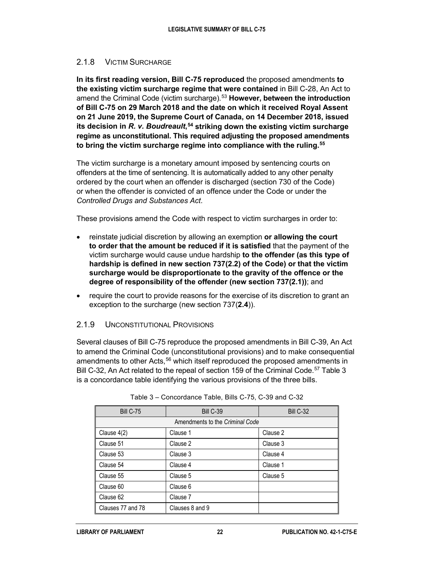# 2.1.8 VICTIM SURCHARGE

**In its first reading version, Bill C-75 reproduced** the proposed amendments **to the existing victim surcharge regime that were contained** in Bill C-28, An Act to amend the Criminal Code (victim surcharge).<sup>[53](#page-32-12)</sup> However, between the introduction **of Bill C-75 on 29 March 2018 and the date on which it received Royal Assent on 21 June 2019, the Supreme Court of Canada, on 14 December 2018, issued its decision in** *R. v. Boudreault***, [54](#page-32-13) striking down the existing victim surcharge regime as unconstitutional. This required adjusting the proposed amendments to bring the victim surcharge regime into compliance with the ruling.[55](#page-32-14)**

The victim surcharge is a monetary amount imposed by sentencing courts on offenders at the time of sentencing. It is automatically added to any other penalty ordered by the court when an offender is discharged (section 730 of the Code) or when the offender is convicted of an offence under the Code or under the *Controlled Drugs and Substances Act*.

These provisions amend the Code with respect to victim surcharges in order to:

- reinstate judicial discretion by allowing an exemption **or allowing the court to order that the amount be reduced if it is satisfied** that the payment of the victim surcharge would cause undue hardship **to the offender (as this type of hardship is defined in new section 737(2.2) of the Code) or that the victim surcharge would be disproportionate to the gravity of the offence or the degree of responsibility of the offender (new section 737(2.1))**; and
- require the court to provide reasons for the exercise of its discretion to grant an exception to the surcharge (new section 737(**2.4**)).

#### 2.1.9 UNCONSTITUTIONAL PROVISIONS

Several clauses of Bill C-75 reproduce the proposed amendments in Bill C-39, An Act to amend the Criminal Code (unconstitutional provisions) and to make consequential amendments to other Acts,<sup>[56](#page-33-0)</sup> which itself reproduced the proposed amendments in Bill C-32, An Act related to the repeal of section 159 of the Criminal Code.<sup>[57](#page-33-1)</sup> Table 3 is a concordance table identifying the various provisions of the three bills.

| <b>Bill C-75</b>  | <b>Bill C-39</b>                | Bill C-32 |
|-------------------|---------------------------------|-----------|
|                   | Amendments to the Criminal Code |           |
| Clause 4(2)       | Clause 1                        | Clause 2  |
| Clause 51         | Clause 2                        | Clause 3  |
| Clause 53         | Clause 3                        | Clause 4  |
| Clause 54         | Clause 4                        | Clause 1  |
| Clause 55         | Clause 5                        | Clause 5  |
| Clause 60         | Clause 6                        |           |
| Clause 62         | Clause 7                        |           |
| Clauses 77 and 78 | Clauses 8 and 9                 |           |

Table 3 – Concordance Table, Bills C-75, C-39 and C-32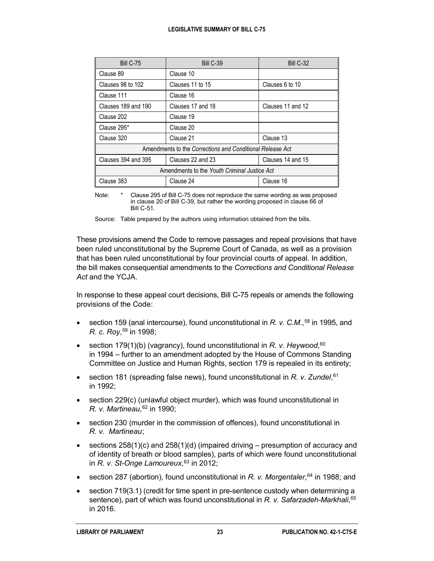| <b>Bill C-75</b>                                          | <b>Bill C-39</b>  | Bill C-32         |  |
|-----------------------------------------------------------|-------------------|-------------------|--|
| Clause 89                                                 | Clause 10         |                   |  |
| Clauses 98 to 102                                         | Clauses 11 to 15  | Clauses 6 to 10   |  |
| Clause 111                                                | Clause 16         |                   |  |
| Clauses 189 and 190                                       | Clauses 17 and 18 | Clauses 11 and 12 |  |
| Clause 202                                                | Clause 19         |                   |  |
| Clause 295*                                               | Clause 20         |                   |  |
| Clause 320                                                | Clause 21         | Clause 13         |  |
| Amendments to the Corrections and Conditional Release Act |                   |                   |  |
| Clauses 394 and 395                                       | Clauses 22 and 23 | Clauses 14 and 15 |  |
| Amendments to the Youth Criminal Justice Act              |                   |                   |  |
| Clause 383                                                | Clause 24         | Clause 16         |  |

Note: \* Clause 295 of Bill C-75 does not reproduce the same wording as was proposed in clause 20 of Bill C-39, but rather the wording proposed in clause 66 of Bill C-51.

Source: Table prepared by the authors using information obtained from the bills.

These provisions amend the Code to remove passages and repeal provisions that have been ruled unconstitutional by the Supreme Court of Canada, as well as a provision that has been ruled unconstitutional by four provincial courts of appeal. In addition, the bill makes consequential amendments to the *Corrections and Conditional Release Act* and the YCJA.

In response to these appeal court decisions, Bill C-75 repeals or amends the following provisions of the Code:

- section 159 (anal intercourse), found unconstitutional in *R. v. C.M.*,<sup>[58](#page-33-2)</sup> in 1995, and *R. c. Roy*, [59](#page-33-3) in 1998;
- section 179(1)(b) (vagrancy), found unconstitutional in *R. v. Heywood*, [60](#page-33-4) in 1994 – further to an amendment adopted by the House of Commons Standing Committee on Justice and Human Rights, section 179 is repealed in its entirety;
- section 181 (spreading false news), found unconstitutional in *R. v. Zundel*, [61](#page-33-5) in 1992;
- section 229(c) (unlawful object murder), which was found unconstitutional in *R. v. Martineau*, [62](#page-33-6) in 1990;
- section 230 (murder in the commission of offences), found unconstitutional in *R. v. Martineau*;
- sections  $258(1)(c)$  and  $258(1)(d)$  (impaired driving presumption of accuracy and of identity of breath or blood samples), parts of which were found unconstitutional in *R. v. St-Onge Lamoureux*, [63](#page-33-7) in 2012;
- section 287 (abortion), found unconstitutional in *R. v. Morgentaler*, [64](#page-33-8) in 1988; and
- section 719(3.1) (credit for time spent in pre-sentence custody when determining a sentence), part of which was found unconstitutional in *R. v. Safarzadeh-Markhali*, [65](#page-33-9) in 2016.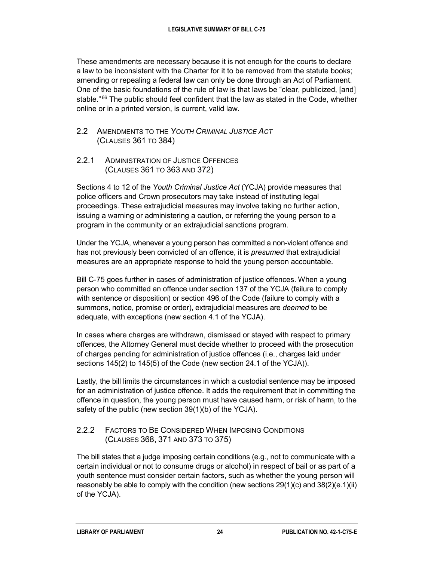These amendments are necessary because it is not enough for the courts to declare a law to be inconsistent with the Charter for it to be removed from the statute books; amending or repealing a federal law can only be done through an Act of Parliament. One of the basic foundations of the rule of law is that laws be "clear, publicized, [and] stable." $66$  The public should feel confident that the law as stated in the Code, whether online or in a printed version, is current, valid law.

#### 2.2 AMENDMENTS TO THE *YOUTH CRIMINAL JUSTICE ACT* (CLAUSES 361 TO 384)

2.2.1 ADMINISTRATION OF JUSTICE OFFENCES (CLAUSES 361 TO 363 AND 372)

Sections 4 to 12 of the *Youth Criminal Justice Act* (YCJA) provide measures that police officers and Crown prosecutors may take instead of instituting legal proceedings. These extrajudicial measures may involve taking no further action, issuing a warning or administering a caution, or referring the young person to a program in the community or an extrajudicial sanctions program.

Under the YCJA, whenever a young person has committed a non-violent offence and has not previously been convicted of an offence, it is *presumed* that extrajudicial measures are an appropriate response to hold the young person accountable.

Bill C-75 goes further in cases of administration of justice offences. When a young person who committed an offence under section 137 of the YCJA (failure to comply with sentence or disposition) or section 496 of the Code (failure to comply with a summons, notice, promise or order), extrajudicial measures are *deemed* to be adequate, with exceptions (new section 4.1 of the YCJA).

In cases where charges are withdrawn, dismissed or stayed with respect to primary offences, the Attorney General must decide whether to proceed with the prosecution of charges pending for administration of justice offences (i.e., charges laid under sections 145(2) to 145(5) of the Code (new section 24.1 of the YCJA)).

Lastly, the bill limits the circumstances in which a custodial sentence may be imposed for an administration of justice offence. It adds the requirement that in committing the offence in question, the young person must have caused harm, or risk of harm, to the safety of the public (new section 39(1)(b) of the YCJA).

# 2.2.2 FACTORS TO BE CONSIDERED WHEN IMPOSING CONDITIONS (CLAUSES 368, 371 AND 373 TO 375)

The bill states that a judge imposing certain conditions (e.g., not to communicate with a certain individual or not to consume drugs or alcohol) in respect of bail or as part of a youth sentence must consider certain factors, such as whether the young person will reasonably be able to comply with the condition (new sections  $29(1)(c)$  and  $38(2)(e.1)(ii)$ of the YCJA).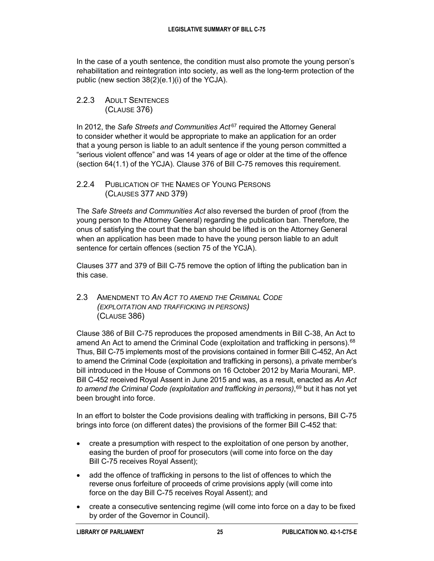In the case of a youth sentence, the condition must also promote the young person's rehabilitation and reintegration into society, as well as the long-term protection of the public (new section 38(2)(e.1)(i) of the YCJA).

2.2.3 ADULT SENTENCES (CLAUSE 376)

In 2012, the *Safe Streets and Communities Act* [67](#page-33-11) required the Attorney General to consider whether it would be appropriate to make an application for an order that a young person is liable to an adult sentence if the young person committed a "serious violent offence" and was 14 years of age or older at the time of the offence (section 64(1.1) of the YCJA). Clause 376 of Bill C-75 removes this requirement.

2.2.4 PUBLICATION OF THE NAMES OF YOUNG PERSONS (CLAUSES 377 AND 379)

The *Safe Streets and Communities Act* also reversed the burden of proof (from the young person to the Attorney General) regarding the publication ban. Therefore, the onus of satisfying the court that the ban should be lifted is on the Attorney General when an application has been made to have the young person liable to an adult sentence for certain offences (section 75 of the YCJA).

Clauses 377 and 379 of Bill C-75 remove the option of lifting the publication ban in this case.

2.3 AMENDMENT TO *AN ACT TO AMEND THE CRIMINAL CODE (EXPLOITATION AND TRAFFICKING IN PERSONS)* (CLAUSE 386)

Clause 386 of Bill C-75 reproduces the proposed amendments in Bill C-38, An Act to amend An Act to amend the Criminal Code (exploitation and trafficking in persons).<sup>[68](#page-33-12)</sup> Thus, Bill C-75 implements most of the provisions contained in former Bill C-452, An Act to amend the Criminal Code (exploitation and trafficking in persons), a private member's bill introduced in the House of Commons on 16 October 2012 by Maria Mourani, MP. Bill C-452 received Royal Assent in June 2015 and was, as a result, enacted as *An Act to amend the Criminal Code (exploitation and trafficking in persons)*, [69](#page-33-13) but it has not yet been brought into force.

In an effort to bolster the Code provisions dealing with trafficking in persons, Bill C-75 brings into force (on different dates) the provisions of the former Bill C-452 that:

- create a presumption with respect to the exploitation of one person by another, easing the burden of proof for prosecutors (will come into force on the day Bill C-75 receives Royal Assent);
- add the offence of trafficking in persons to the list of offences to which the reverse onus forfeiture of proceeds of crime provisions apply (will come into force on the day Bill C-75 receives Royal Assent); and
- create a consecutive sentencing regime (will come into force on a day to be fixed by order of the Governor in Council).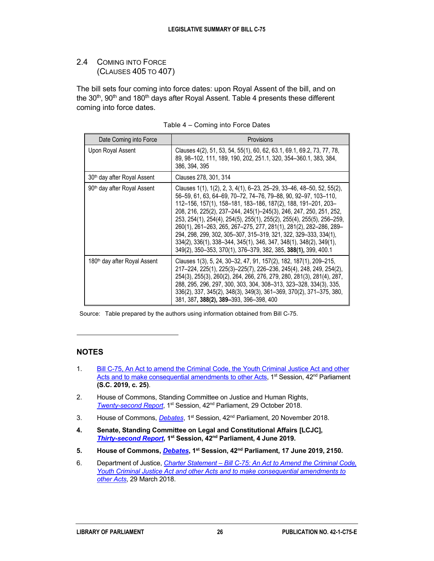# 2.4 COMING INTO FORCE (CLAUSES 405 TO 407)

The bill sets four coming into force dates: upon Royal Assent of the bill, and on the 30<sup>th</sup>, 90<sup>th</sup> and 180<sup>th</sup> days after Royal Assent. Table 4 presents these different coming into force dates.

| Date Coming into Force                   | Provisions                                                                                                                                                                                                                                                                                                                                                                                                                                                                                                                                                                                                                               |
|------------------------------------------|------------------------------------------------------------------------------------------------------------------------------------------------------------------------------------------------------------------------------------------------------------------------------------------------------------------------------------------------------------------------------------------------------------------------------------------------------------------------------------------------------------------------------------------------------------------------------------------------------------------------------------------|
| Upon Royal Assent                        | Clauses 4(2), 51, 53, 54, 55(1), 60, 62, 63.1, 69.1, 69.2, 73, 77, 78,<br>89, 98-102, 111, 189, 190, 202, 251.1, 320, 354-360.1, 383, 384,<br>386, 394, 395                                                                                                                                                                                                                                                                                                                                                                                                                                                                              |
| 30 <sup>th</sup> day after Royal Assent  | Clauses 278, 301, 314                                                                                                                                                                                                                                                                                                                                                                                                                                                                                                                                                                                                                    |
| 90 <sup>th</sup> day after Royal Assent  | Clauses 1(1), 1(2), 2, 3, 4(1), 6–23, 25–29, 33–46, 48–50, 52, 55(2),<br>56-59, 61, 63, 64-69, 70-72, 74-76, 79-88, 90, 92-97, 103-110,<br>112-156, 157(1), 158-181, 183-186, 187(2), 188, 191-201, 203-<br>208, 216, 225(2), 237-244, 245(1)-245(3), 246, 247, 250, 251, 252,<br>253, 254(1), 254(4), 254(5), 255(1), 255(2), 255(4), 255(5), 256-259,<br>260(1), 261-263, 265, 267-275, 277, 281(1), 281(2), 282-286, 289-<br>294, 298, 299, 302, 305-307, 315-319, 321, 322, 329-333, 334(1),<br>334(2), 336(1), 338–344, 345(1), 346, 347, 348(1), 348(2), 349(1),<br>349(2), 350-353, 370(1), 376-379, 382, 385, 388(1), 399, 400.1 |
| 180 <sup>th</sup> day after Royal Assent | Clauses 1(3), 5, 24, 30-32, 47, 91, 157(2), 182, 187(1), 209-215,<br>217-224, 225(1), 225(3)-225(7), 226-236, 245(4), 248, 249, 254(2),<br>254(3), 255(3), 260(2), 264, 266, 276, 279, 280, 281(3), 281(4), 287,<br>288, 295, 296, 297, 300, 303, 304, 308-313, 323-328, 334(3), 335,<br>336(2), 337, 345(2), 348(3), 349(3), 361-369, 370(2), 371-375, 380,<br>381, 387, 388(2), 389-393, 396-398, 400                                                                                                                                                                                                                                  |

| Table 4 - Coming into Force Dates |  |
|-----------------------------------|--|
|-----------------------------------|--|

Source: Table prepared by the authors using information obtained from Bill C-75.

#### **NOTES**

 $\ddot{ }$ 

- <span id="page-29-0"></span>1. Bill C-75, An Act to amend the Criminal [Code, the Youth Criminal Justice Act and other](http://www.parl.ca/LegisInfo/BillDetails.aspx?billId=9745407&Language=E)  [Acts and to make consequential amendments to other Acts,](http://www.parl.ca/LegisInfo/BillDetails.aspx?billId=9745407&Language=E) 1<sup>st</sup> Session, 42<sup>nd</sup> Parliament **(S.C. 2019, c. 25)**.
- <span id="page-29-1"></span>2. House of Commons, Standing Committee on Justice and Human Rights, *[Twenty-second](http://www.ourcommons.ca/DocumentViewer/en/42-1/JUST/report-22) Report*, 1st Session, 42nd Parliament, 29 October 2018.
- <span id="page-29-2"></span>3. House of Commons, *[Debates](http://www.ourcommons.ca/DocumentViewer/en/42-1/house/sitting-354/hansard)*, 1st Session, 42nd Parliament, 20 November 2018.
- <span id="page-29-3"></span>**4. Senate, Standing Committee on Legal and Constitutional Affairs [LCJC],**  *[Thirty-second](https://sencanada.ca/en/Committees/report/75873/42-1) Report***, 1st Session, 42nd Parliament, 4 June 2019.**
- <span id="page-29-4"></span>**5. House of Commons,** *[Debates](https://www.ourcommons.ca/DocumentViewer/en/42-1/house/sitting-435/hansard#Int-10714429)***, 1st Session, 42nd Parliament, 17 June 2019, 2150.**
- <span id="page-29-5"></span>6. Department of Justice, *Charter Statement – Bill [C-75: An Act to Amend the Criminal](http://www.justice.gc.ca/eng/csj-sjc/pl/charter-charte/c75.html) Code, [Youth Criminal Justice Act and other Acts and to make consequential amendments to](http://www.justice.gc.ca/eng/csj-sjc/pl/charter-charte/c75.html)  [other Acts](http://www.justice.gc.ca/eng/csj-sjc/pl/charter-charte/c75.html)*, 29 March 2018.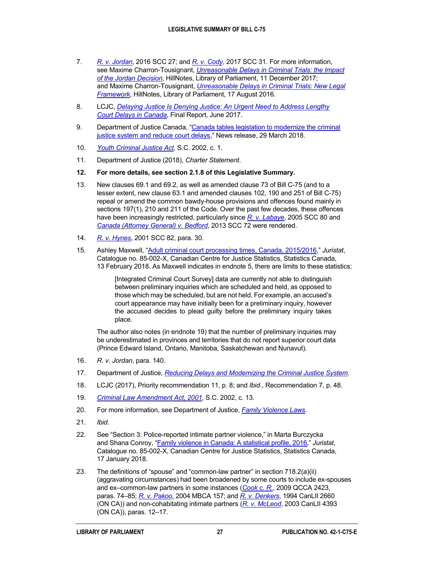- <span id="page-30-0"></span>7. *[R. v. Jordan](https://scc-csc.lexum.com/scc-csc/scc-csc/en/item/16057/index.do)*, 2016 SCC 27; and *[R. v. Cody](https://scc-csc.lexum.com/scc-csc/scc-csc/en/item/16693/index.do)*, 2017 SCC 31. For more information, see Maxime Charron-Tousignant, *[Unreasonable Delays in Criminal Trials: the Impact](https://hillnotes.ca/2017/12/11/unreasonable-delays-in-criminal-trials-the-impact-of-the-jordan-decision/)  of [the Jordan Decision](https://hillnotes.ca/2017/12/11/unreasonable-delays-in-criminal-trials-the-impact-of-the-jordan-decision/)*, HillNotes, Library of Parliament, 11 December 2017; and Maxime Charron-Tousignant, *[Unreasonable Delays in Criminal Trials: New Legal](https://hillnotes.ca/2016/08/17/unreasonable-delays-in-criminal-trials-new-legal-framework/)  [Framework](https://hillnotes.ca/2016/08/17/unreasonable-delays-in-criminal-trials-new-legal-framework/)*, HillNotes, Library of Parliament, 17 August 2016.
- <span id="page-30-1"></span>8. LCJC, *[Delaying Justice Is Denying Justice: An Urgent Need to Address Lengthy](https://sencanada.ca/content/sen/committee/421/LCJC/reports/Court_Delays_Final_Report_e.pdf)  Court [Delays in Canada](https://sencanada.ca/content/sen/committee/421/LCJC/reports/Court_Delays_Final_Report_e.pdf)*, Final Report, June 2017.
- <span id="page-30-2"></span>9. Department of Justice Canada, ["Canada tables legislation to modernize the criminal](https://www.canada.ca/en/department-justice/news/2018/03/modernizing-the-criminal-justice-system-and-reduce-court-delays.html)  [justice system and reduce court delays,](https://www.canada.ca/en/department-justice/news/2018/03/modernizing-the-criminal-justice-system-and-reduce-court-delays.html)" News release, 29 March 2018.
- <span id="page-30-3"></span>10. *[Youth Criminal Justice Act](http://www.laws-lois.justice.gc.ca/eng/acts/Y-1.5/index.html)*, S.C. 2002, c. 1.
- <span id="page-30-4"></span>11. Department of Justice (2018), *Charter Statement*.
- <span id="page-30-5"></span>**12. For more details, see section 2.1.8 of this Legislative Summary.**
- <span id="page-30-6"></span>13. New clauses 69.1 and 69.2, as well as amended clause 73 of Bill C-75 (and to a lesser extent, new clause 63.1 and amended clauses 102, 190 and 251 of Bill C-75) repeal or amend the common bawdy-house provisions and offences found mainly in sections 197(1), 210 and 211 of the Code. Over the past few decades, these offences have been increasingly restricted, particularly since *[R. v. Labaye](https://scc-csc.lexum.com/scc-csc/scc-csc/en/item/2263/index.do)*, 2005 SCC 80 and *[Canada \(Attorney General\) v. Bedford](https://scc-csc.lexum.com/scc-csc/scc-csc/en/item/13389/index.do)*, 2013 SCC 72 were rendered.
- <span id="page-30-7"></span>14. *[R. v. Hynes](https://scc-csc.lexum.com/scc-csc/scc-csc/en/item/1923/index.do)*, 2001 SCC 82, para. 30.
- <span id="page-30-8"></span>15. Ashley Maxwell, ["Adult criminal court processing times, Canada,](https://www150.statcan.gc.ca/n1/pub/85-002-x/2018001/article/54900-eng.htm) 2015/2016," *Juristat*, Catalogue no. 85-002-X, Canadian Centre for Justice Statistics, Statistics Canada, 13 February 2018. As Maxwell indicates in endnote 5, there are limits to these statistics:

[Integrated Criminal Court Survey] data are currently not able to distinguish between preliminary inquiries which are scheduled and held, as opposed to those which may be scheduled, but are not held. For example, an accused's court appearance may have initially been for a preliminary inquiry, however the accused decides to plead guilty before the preliminary inquiry takes place.

The author also notes (in endnote 19) that the number of preliminary inquiries may be underestimated in provinces and territories that do not report superior court data (Prince Edward Island, Ontario, Manitoba, Saskatchewan and Nunavut).

- <span id="page-30-9"></span>16. *R. v. Jordan*, para. 140.
- <span id="page-30-10"></span>17. Department of Justice, *[Reducing Delays and Modernizing the Criminal Justice System](https://www.justice.gc.ca/eng/cj-jp/redu/index.html)*.
- <span id="page-30-11"></span>18. LCJC (2017), Priority recommendation 11, p. 8; and *Ibid*., Recommendation 7, p. 48.
- <span id="page-30-12"></span>19. *[Criminal Law Amendment Act,](http://laws-lois.justice.gc.ca/eng/AnnualStatutes/2002_13/FullText.html) 2001*, S.C. 2002, c. 13.
- <span id="page-30-13"></span>20. For more information, see Department of Justice, *[Family Violence Laws](http://www.justice.gc.ca/eng/cj-jp/fv-vf/laws-lois.html)*.
- <span id="page-30-14"></span>21. *Ibid*.
- <span id="page-30-15"></span>22. See "Section 3: Police-reported intimate partner violence," in Marta Burczycka and Shana Conroy, ["Family violence in Canada: A statistical profile,](https://www150.statcan.gc.ca/n1/pub/85-002-x/2018001/article/54893-eng.htm) 2016," *Juristat*, Catalogue no. 85-002-X, Canadian Centre for Justice Statistics, Statistics Canada, 17 January 2018.
- <span id="page-30-16"></span>23. The definitions of "spouse" and "common-law partner" in section 718.2(a)(ii) (aggravating circumstances) had been broadened by some courts to include ex-spouses and ex–common-law partners in some instances (*[Cook c. R.](http://canlii.ca/t/272l4)*, 2009 QCCA 2423, paras. 74–85; *[R. v. Pakoo](http://canlii.ca/t/1j2c2)*, 2004 MBCA 157; and *[R. v. Denkers](http://canlii.ca/t/6k0b)*, 1994 CanLII 2660 (ON CA)) and non-cohabitating intimate partners (*[R. v. McLeod](http://canlii.ca/t/511b)*, 2003 CanLII 4393 (ON CA)), paras. 12–17.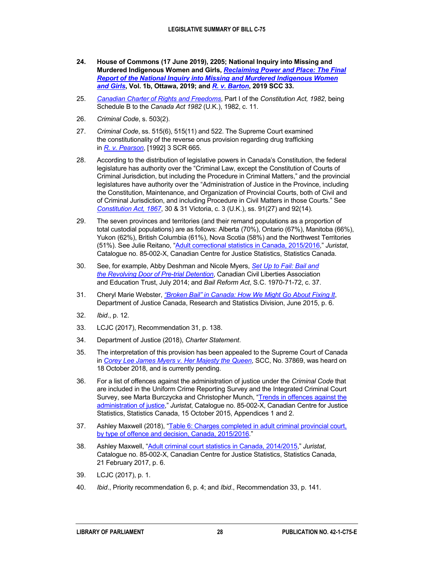- <span id="page-31-0"></span>**24. House of Commons (17 June 2019), 2205; National Inquiry into Missing and Murdered Indigenous Women and Girls,** *[Reclaiming Power and Place: The Final](https://www.mmiwg-ffada.ca/wp-content/uploads/2019/06/Final_Report_Vol_1b.pdf)  [Report of the National Inquiry into Missing and Murdered Indigenous Women](https://www.mmiwg-ffada.ca/wp-content/uploads/2019/06/Final_Report_Vol_1b.pdf)  and [Girls](https://www.mmiwg-ffada.ca/wp-content/uploads/2019/06/Final_Report_Vol_1b.pdf)***, Vol. 1b, Ottawa, 2019; and** *[R. v. Barton](https://scc-csc.lexum.com/scc-csc/scc-csc/en/item/17800/index.do)***, 2019 SCC 33.**
- <span id="page-31-1"></span>25. *[Canadian Charter of Rights and Freedoms](http://laws-lois.justice.gc.ca/eng/Const/page-15.html)*, Part I of the *Constitution Act, 1982*, being Schedule B to the *Canada Act 1982* (U.K.), 1982, c. 11.
- <span id="page-31-2"></span>26. *Criminal Code*, s. 503(2).
- <span id="page-31-3"></span>27. *Criminal Code*, ss. 515(6), 515(11) and 522. The Supreme Court examined the constitutionality of the reverse onus provision regarding drug trafficking in *R. v. [Pearson](https://scc-csc.lexum.com/scc-csc/scc-csc/en/item/940/index.do)*, [1992] 3 SCR 665.
- <span id="page-31-4"></span>28. According to the distribution of legislative powers in Canada's Constitution, the federal legislature has authority over the "Criminal Law, except the Constitution of Courts of Criminal Jurisdiction, but including the Procedure in Criminal Matters," and the provincial legislatures have authority over the "Administration of Justice in the Province, including the Constitution, Maintenance, and Organization of Provincial Courts, both of Civil and of Criminal Jurisdiction, and including Procedure in Civil Matters in those Courts." See *[Constitution Act,](http://laws-lois.justice.gc.ca/eng/Const/page-1.html) 1867*, 30 & 31 Victoria, c. 3 (U.K.), ss. 91(27) and 92(14).
- <span id="page-31-5"></span>29. The seven provinces and territories (and their remand populations as a proportion of total custodial populations) are as follows: Alberta (70%), Ontario (67%), Manitoba (66%), Yukon (62%), British Columbia (61%), Nova Scotia (58%) and the Northwest Territories (51%). See Julie Reitano, ["Adult correctional statistics in Canada,](https://www.statcan.gc.ca/pub/85-002-x/2017001/article/14700-eng.htm) 2015/2016," *Juristat*, Catalogue no. 85-002-X, Canadian Centre for Justice Statistics, Statistics Canada.
- <span id="page-31-6"></span>30. See, for example, Abby Deshman and Nicole Myers, *[Set Up to Fail: Bail and](https://ccla.org/dev/v5/_doc/CCLA_set_up_to_fail.pdf)  the [Revolving Door of Pre-trial Detention](https://ccla.org/dev/v5/_doc/CCLA_set_up_to_fail.pdf)*, Canadian Civil Liberties Association and Education Trust, July 2014; and *Bail Reform Act*, S.C. 1970-71-72, c. 37.
- <span id="page-31-7"></span>31. Cheryl Marie Webster, *["Broken Bail" in Canada: How We Might Go About Fixing It](http://crs.parl.gc.ca/ContentProxy/Document.aspx?ObjectId=17034029)*, Department of Justice Canada, Research and Statistics Division, June 2015, p. 6.
- <span id="page-31-8"></span>32. *Ibid*., p. 12.
- <span id="page-31-9"></span>33. LCJC (2017), Recommendation 31, p. 138.
- <span id="page-31-10"></span>34. Department of Justice (2018), *Charter Statement*.
- <span id="page-31-11"></span>35. The interpretation of this provision has been appealed to the Supreme Court of Canada in *[Corey Lee James Myers v. Her Majesty the Queen](https://www.scc-csc.ca/case-dossier/info/sum-som-eng.aspx?cas=37869)*, SCC, No. 37869, was heard on 18 October 2018, and is currently pending.
- <span id="page-31-12"></span>36. For a list of offences against the administration of justice under the *Criminal Code* that are included in the Uniform Crime Reporting Survey and the Integrated Criminal Court Survey, see Marta Burczycka and Christopher Munch, "Trends in offences against the [administration of justice,"](https://www150.statcan.gc.ca/n1/pub/85-002-x/2015001/article/14233-eng.htm) *Juristat*, Catalogue no. 85-002-X, Canadian Centre for Justice Statistics, Statistics Canada, 15 October 2015, Appendices 1 and 2.
- <span id="page-31-13"></span>37. Ashley Maxwell (2018), "Table 6: Charges completed in adult criminal provincial court, by [type of offence and decision, Canada,](https://www150.statcan.gc.ca/n1/pub/85-002-x/2018001/article/54900/tbl/tbl06-eng.htm) 2015/2016."
- <span id="page-31-14"></span>38. Ashley Maxwell, ["Adult criminal court statistics in Canada,](http://www.statcan.gc.ca/pub/85-002-x/2017001/article/14699-eng.pdf) 2014/2015," *Juristat*, Catalogue no. 85-002-X, Canadian Centre for Justice Statistics, Statistics Canada, 21 February 2017, p. 6.
- <span id="page-31-15"></span>39. LCJC (2017), p. 1.
- <span id="page-31-16"></span>40. *Ibid*., Priority recommendation 6, p. 4; and *Ibid*., Recommendation 33, p. 141.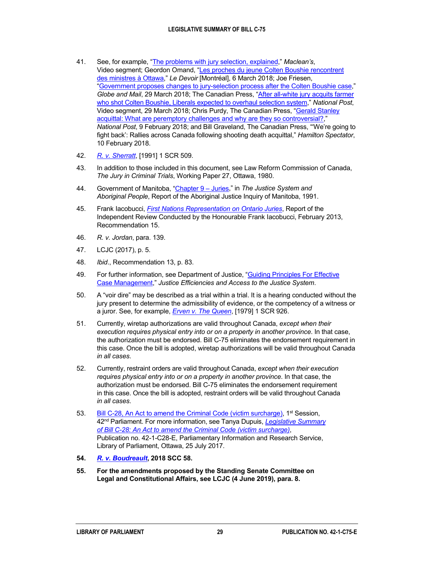- <span id="page-32-0"></span>41. See, for example, ["The problems with jury selection, explained,"](https://www.macleans.ca/uncategorized/the-problems-with-jury-selection-explained/) *Maclean's*, Video segment; Geordon Omand, ["Les proches du jeune Colten Boushie rencontrent](https://www.ledevoir.com/politique/canada/519999/les-proches-du-jeune-colten-boushie-rencontrent-des-ministres-a-ottawa)  des [ministres à Ottawa,](https://www.ledevoir.com/politique/canada/519999/les-proches-du-jeune-colten-boushie-rencontrent-des-ministres-a-ottawa)" *Le Devoir* [Montréal], 6 March 2018; Joe Friesen, "Government [proposes changes to jury-selection process after the Colten Boushie case,"](https://www.theglobeandmail.com/canada/article-government-proposes-changes-to-jury-selection-process-after-the-colten/) *Globe and Mail*, 29 March 2018; The Canadian Press, ["After all-white jury acquits farmer](http://nationalpost.com/news/canada/liberals-set-to-reform-jury-selection-process-following-colten-boushie-case)  [who shot Colten Boushie, Liberals expected to overhaul selection system,](http://nationalpost.com/news/canada/liberals-set-to-reform-jury-selection-process-following-colten-boushie-case)" *National Post*, Video segment, 29 March 2018; Chris Purdy, The Canadian Press, ["Gerald Stanley](http://nationalpost.com/news/canada/experts-renew-call-for-challenge-changes-jury-lists-with-more-indigenous-names)  [acquittal: What are peremptory challenges and why are they so controversial?,](http://nationalpost.com/news/canada/experts-renew-call-for-challenge-changes-jury-lists-with-more-indigenous-names)" *National Post*, 9 February 2018; and Bill Graveland, The Canadian Press, "'We're going to fight back': Rallies across Canada following shooting death acquittal," *Hamilton Spectator*, 10 February 2018.
- <span id="page-32-1"></span>42. *[R. v. Sherratt](https://scc-csc.lexum.com/scc-csc/scc-csc/en/item/734/index.do)*, [1991] 1 SCR 509.
- <span id="page-32-2"></span>43. In addition to those included in this document, see Law Reform Commission of Canada, *The Jury in Criminal Trials*, Working Paper 27, Ottawa, 1980.
- <span id="page-32-3"></span>44. Government of Manitoba, ["Chapter](http://www.ajic.mb.ca/volumel/chapter9.html#9) 9 – Juries," in *The Justice System and Aboriginal People*, Report of the Aboriginal Justice Inquiry of Manitoba, 1991.
- <span id="page-32-4"></span>45. Frank Iacobucci, *First [Nations Representation on Ontario Juries](https://www.attorneygeneral.jus.gov.on.ca/english/about/pubs/iacobucci/First_Nations_Representation_Ontario_Juries.html)*, Report of the Independent Review Conducted by the Honourable Frank Iacobucci, February 2013, Recommendation 15.
- <span id="page-32-5"></span>46. *R. v. Jordan*, para. 139.
- <span id="page-32-6"></span>47. LCJC (2017), p. 5.
- <span id="page-32-7"></span>48. *Ibid*., Recommendation 13, p. 83.
- <span id="page-32-8"></span>49. For further information, see Department of Justice, ["Guiding Principles For Effective](http://www.justice.gc.ca/eng/rp-pr/csj-sjc/esc-cde/eff/toc-tdm.html)  Case [Management,](http://www.justice.gc.ca/eng/rp-pr/csj-sjc/esc-cde/eff/toc-tdm.html)" *Justice Efficiencies and Access to the Justice System*.
- <span id="page-32-9"></span>50. A "voir dire" may be described as a trial within a trial. It is a hearing conducted without the jury present to determine the admissibility of evidence, or the competency of a witness or a juror. See, for example, *[Erven v. The Queen](https://scc-csc.lexum.com/scc-csc/scc-csc/en/item/2621/index.do)*, [1979] 1 SCR 926.
- <span id="page-32-10"></span>51. Currently, wiretap authorizations are valid throughout Canada, *except when their execution requires physical entry into or on a property in another province*. In that case, the authorization must be endorsed. Bill C-75 eliminates the endorsement requirement in this case. Once the bill is adopted, wiretap authorizations will be valid throughout Canada *in all cases*.
- <span id="page-32-11"></span>52. Currently, restraint orders are valid throughout Canada, *except when their execution requires physical entry into or on a property in another province*. In that case, the authorization must be endorsed. Bill C-75 eliminates the endorsement requirement in this case. Once the bill is adopted, restraint orders will be valid throughout Canada *in all cases*.
- <span id="page-32-12"></span>53. Bill [C-28, An Act to amend the Criminal](http://www.parl.ca/LegisInfo/BillDetails.aspx?billId=8374778&Language=E) Code (victim surcharge), 1<sup>st</sup> Session, 42nd Parliament. For more information, see Tanya Dupuis, *[Legislative Summary](https://lop.parl.ca/sites/PublicWebsite/default/en_CA/ResearchPublications/LegislativeSummaries/421C28E)  of Bill [C-28: An Act to amend the Criminal](https://lop.parl.ca/sites/PublicWebsite/default/en_CA/ResearchPublications/LegislativeSummaries/421C28E) Code (victim surcharge)*, Publication no. 42-1-C28-E, Parliamentary Information and Research Service, Library of Parliament, Ottawa, 25 July 2017.
- <span id="page-32-13"></span>**54.** *[R. v. Boudreault](https://scc-csc.lexum.com/scc-csc/scc-csc/en/item/17416/index.do)***, 2018 SCC 58.**
- <span id="page-32-14"></span>**55. For the amendments proposed by the Standing Senate Committee on Legal and Constitutional Affairs, see LCJC (4 June 2019), para. 8.**